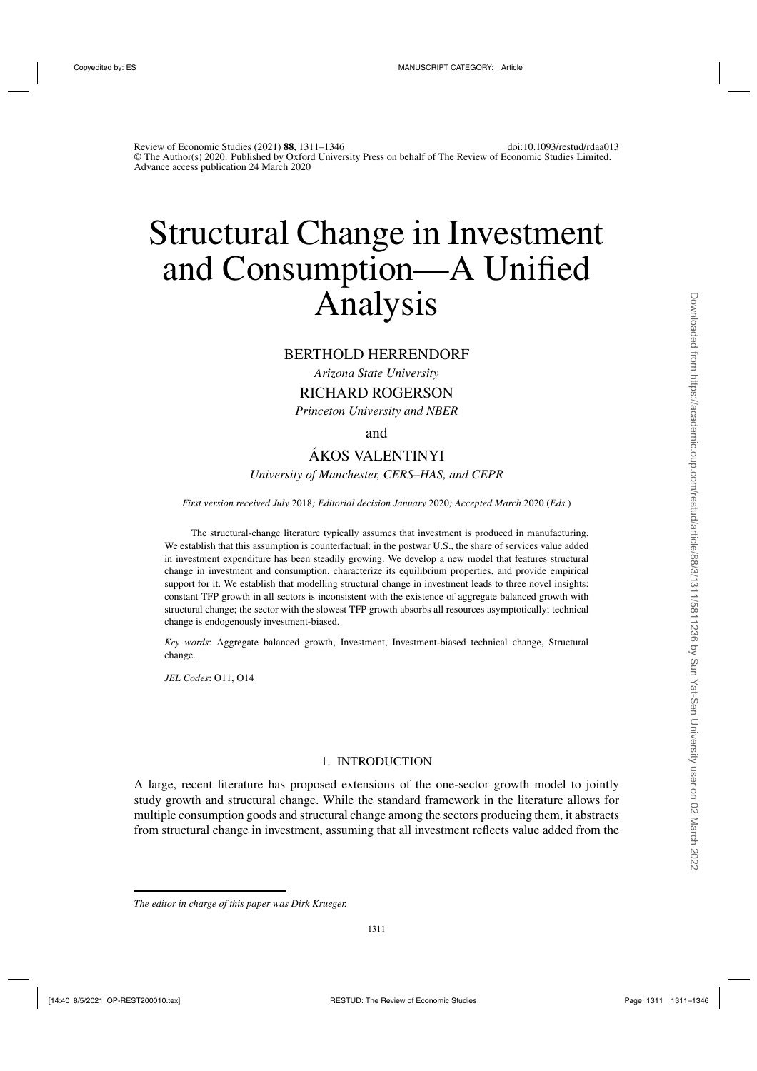# Structural Change in Investment and Consumption—A Unified Analysis

# BERTHOLD HERRENDORF

*Arizona State University*

RICHARD ROGERSON

*Princeton University and NBER*

and

# ÁKOS VALENTINYI *University of Manchester, CERS–HAS, and CEPR*

*First version received July* 2018*; Editorial decision January* 2020*; Accepted March* 2020 (*Eds.*)

The structural-change literature typically assumes that investment is produced in manufacturing. We establish that this assumption is counterfactual: in the postwar U.S., the share of services value added in investment expenditure has been steadily growing. We develop a new model that features structural change in investment and consumption, characterize its equilibrium properties, and provide empirical support for it. We establish that modelling structural change in investment leads to three novel insights: constant TFP growth in all sectors is inconsistent with the existence of aggregate balanced growth with structural change; the sector with the slowest TFP growth absorbs all resources asymptotically; technical change is endogenously investment-biased.

*Key words*: Aggregate balanced growth, Investment, Investment-biased technical change, Structural change.

*JEL Codes*: O11, O14

## 1. INTRODUCTION

A large, recent literature has proposed extensions of the one-sector growth model to jointly study growth and structural change. While the standard framework in the literature allows for multiple consumption goods and structural change among the sectors producing them, it abstracts from structural change in investment, assuming that all investment reflects value added from the

*The editor in charge of this paper was Dirk Krueger.*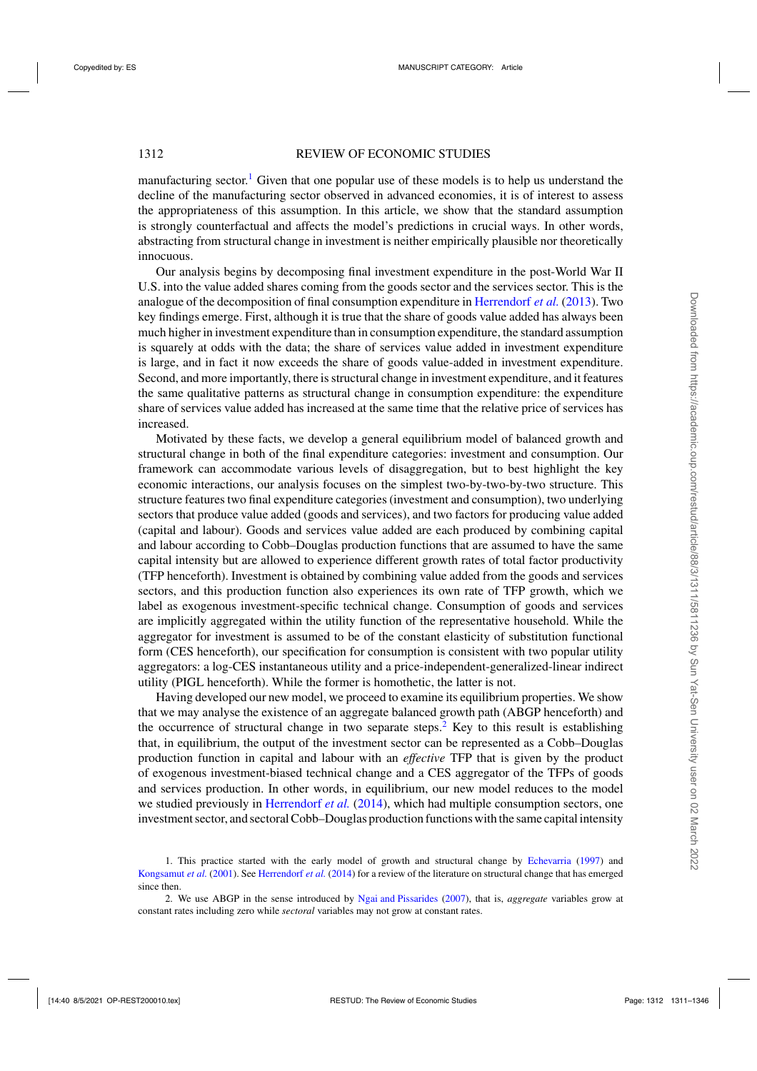manufacturing sector.<sup>1</sup> Given that one popular use of these models is to help us understand the decline of the manufacturing sector observed in advanced economies, it is of interest to assess the appropriateness of this assumption. In this article, we show that the standard assumption is strongly counterfactual and affects the model's predictions in crucial ways. In other words, abstracting from structural change in investment is neither empirically plausible nor theoretically innocuous.

Our analysis begins by decomposing final investment expenditure in the post-World War II U.S. into the value added shares coming from the goods sector and the services sector. This is the analogue of the decomposition of final consumption expenditure in [Herrendorf](#page-35-0) *et al.* [\(2013](#page-35-0)). Two key findings emerge. First, although it is true that the share of goods value added has always been much higher in investment expenditure than in consumption expenditure, the standard assumption is squarely at odds with the data; the share of services value added in investment expenditure is large, and in fact it now exceeds the share of goods value-added in investment expenditure. Second, and more importantly, there is structural change in investment expenditure, and it features the same qualitative patterns as structural change in consumption expenditure: the expenditure share of services value added has increased at the same time that the relative price of services has increased.

Motivated by these facts, we develop a general equilibrium model of balanced growth and structural change in both of the final expenditure categories: investment and consumption. Our framework can accommodate various levels of disaggregation, but to best highlight the key economic interactions, our analysis focuses on the simplest two-by-two-by-two structure. This structure features two final expenditure categories (investment and consumption), two underlying sectors that produce value added (goods and services), and two factors for producing value added (capital and labour). Goods and services value added are each produced by combining capital and labour according to Cobb–Douglas production functions that are assumed to have the same capital intensity but are allowed to experience different growth rates of total factor productivity (TFP henceforth). Investment is obtained by combining value added from the goods and services sectors, and this production function also experiences its own rate of TFP growth, which we label as exogenous investment-specific technical change. Consumption of goods and services are implicitly aggregated within the utility function of the representative household. While the aggregator for investment is assumed to be of the constant elasticity of substitution functional form (CES henceforth), our specification for consumption is consistent with two popular utility aggregators: a log-CES instantaneous utility and a price-independent-generalized-linear indirect utility (PIGL henceforth). While the former is homothetic, the latter is not.

Having developed our new model, we proceed to examine its equilibrium properties. We show that we may analyse the existence of an aggregate balanced growth path (ABGP henceforth) and the occurrence of structural change in two separate steps.<sup>2</sup> Key to this result is establishing that, in equilibrium, the output of the investment sector can be represented as a Cobb–Douglas production function in capital and labour with an *effective* TFP that is given by the product of exogenous investment-biased technical change and a CES aggregator of the TFPs of goods and services production. In other words, in equilibrium, our new model reduces to the model we studied previously in [Herrendorf](#page-35-0) *et al.* [\(2014](#page-35-0)), which had multiple consumption sectors, one investment sector, and sectoral Cobb–Douglas production functions with the same capital intensity

<sup>1.</sup> This practice started with the early model of growth and structural change by [Echevarria](#page-35-0) [\(1997\)](#page-35-0) and [Kongsamut](#page-35-0) *et al.* [\(2001\)](#page-35-0). See [Herrendorf](#page-35-0) *et al.* [\(2014\)](#page-35-0) for a review of the literature on structural change that has emerged since then.

<sup>2.</sup> We use ABGP in the sense introduced by [Ngai and Pissarides](#page-35-0) [\(2007](#page-35-0)), that is, *aggregate* variables grow at constant rates including zero while *sectoral* variables may not grow at constant rates.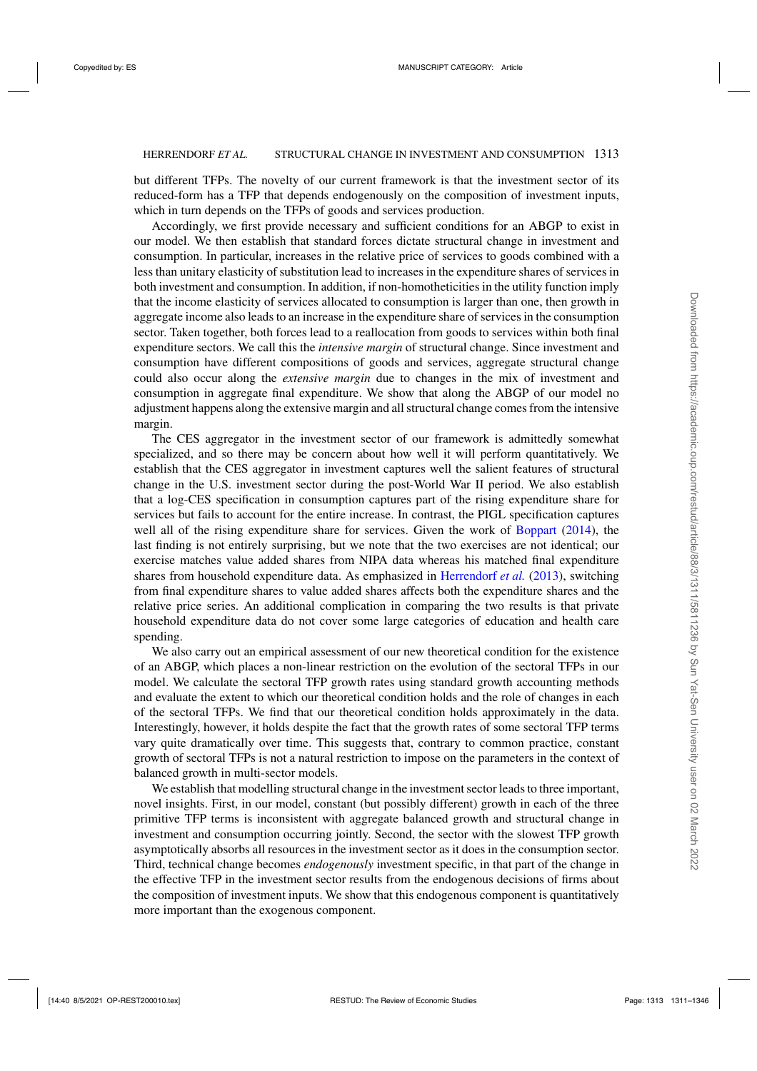but different TFPs. The novelty of our current framework is that the investment sector of its reduced-form has a TFP that depends endogenously on the composition of investment inputs, which in turn depends on the TFPs of goods and services production.

Accordingly, we first provide necessary and sufficient conditions for an ABGP to exist in our model. We then establish that standard forces dictate structural change in investment and consumption. In particular, increases in the relative price of services to goods combined with a less than unitary elasticity of substitution lead to increases in the expenditure shares of services in both investment and consumption. In addition, if non-homotheticities in the utility function imply that the income elasticity of services allocated to consumption is larger than one, then growth in aggregate income also leads to an increase in the expenditure share of services in the consumption sector. Taken together, both forces lead to a reallocation from goods to services within both final expenditure sectors. We call this the *intensive margin* of structural change. Since investment and consumption have different compositions of goods and services, aggregate structural change could also occur along the *extensive margin* due to changes in the mix of investment and consumption in aggregate final expenditure. We show that along the ABGP of our model no adjustment happens along the extensive margin and all structural change comes from the intensive margin.

The CES aggregator in the investment sector of our framework is admittedly somewhat specialized, and so there may be concern about how well it will perform quantitatively. We establish that the CES aggregator in investment captures well the salient features of structural change in the U.S. investment sector during the post-World War II period. We also establish that a log-CES specification in consumption captures part of the rising expenditure share for services but fails to account for the entire increase. In contrast, the PIGL specification captures well all of the rising expenditure share for services. Given the work of [Boppart](#page-35-0) [\(2014](#page-35-0)), the last finding is not entirely surprising, but we note that the two exercises are not identical; our exercise matches value added shares from NIPA data whereas his matched final expenditure shares from household expenditure data. As emphasized in [Herrendorf](#page-35-0) *et al.* [\(2013](#page-35-0)), switching from final expenditure shares to value added shares affects both the expenditure shares and the relative price series. An additional complication in comparing the two results is that private household expenditure data do not cover some large categories of education and health care spending.

We also carry out an empirical assessment of our new theoretical condition for the existence of an ABGP, which places a non-linear restriction on the evolution of the sectoral TFPs in our model. We calculate the sectoral TFP growth rates using standard growth accounting methods and evaluate the extent to which our theoretical condition holds and the role of changes in each of the sectoral TFPs. We find that our theoretical condition holds approximately in the data. Interestingly, however, it holds despite the fact that the growth rates of some sectoral TFP terms vary quite dramatically over time. This suggests that, contrary to common practice, constant growth of sectoral TFPs is not a natural restriction to impose on the parameters in the context of balanced growth in multi-sector models.

We establish that modelling structural change in the investment sector leads to three important, novel insights. First, in our model, constant (but possibly different) growth in each of the three primitive TFP terms is inconsistent with aggregate balanced growth and structural change in investment and consumption occurring jointly. Second, the sector with the slowest TFP growth asymptotically absorbs all resources in the investment sector as it does in the consumption sector. Third, technical change becomes *endogenously* investment specific, in that part of the change in the effective TFP in the investment sector results from the endogenous decisions of firms about the composition of investment inputs. We show that this endogenous component is quantitatively more important than the exogenous component.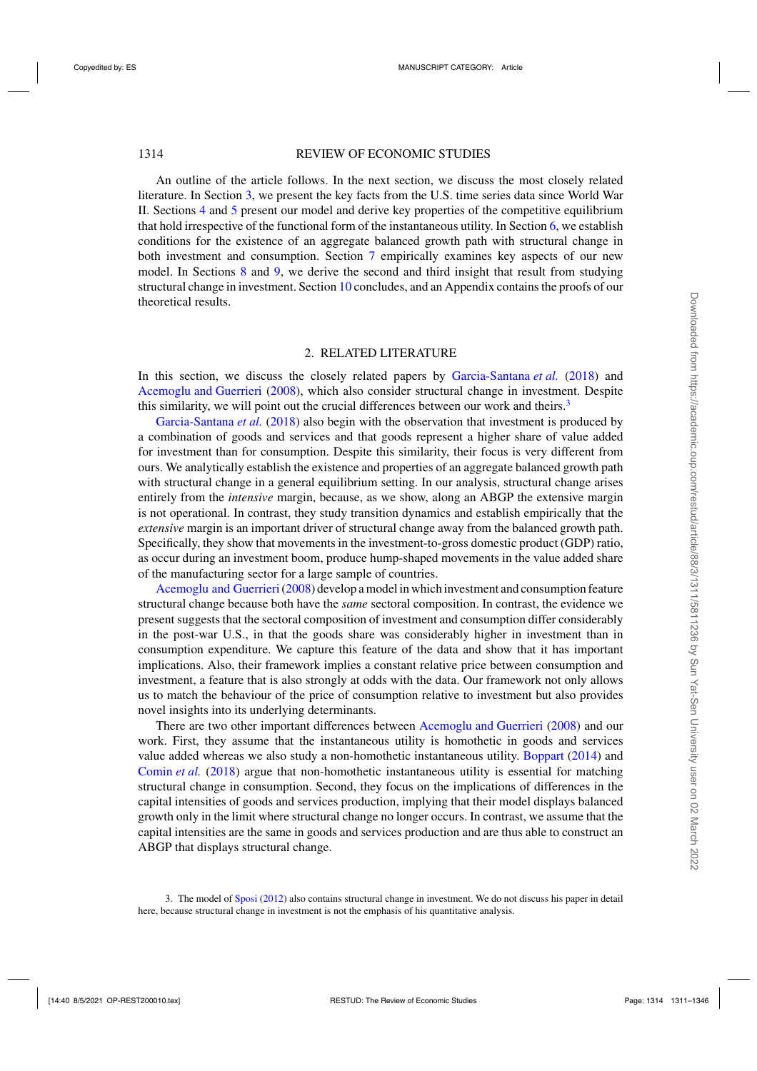<span id="page-3-0"></span>An outline of the article follows. In the next section, we discuss the most closely related literature. In Section [3,](#page-4-0) we present the key facts from the U.S. time series data since World War II. Sections [4](#page-7-0) and [5](#page-8-0) present our model and derive key properties of the competitive equilibrium that hold irrespective of the functional form of the instantaneous utility. In Section [6,](#page-13-0) we establish conditions for the existence of an aggregate balanced growth path with structural change in both investment and consumption. Section [7](#page-21-0) empirically examines key aspects of our new model. In Sections [8](#page-28-0) and [9,](#page-29-0) we derive the second and third insight that result from studying structural change in investment. Section [10](#page-32-0) concludes, and an Appendix contains the proofs of our theoretical results.

#### 2. RELATED LITERATURE

In this section, we discuss the closely related papers by [Garcia-Santana](#page-35-0) *et al.* [\(2018\)](#page-35-0) and [Acemoglu and Guerrieri](#page-35-0) [\(2008\)](#page-35-0), which also consider structural change in investment. Despite this similarity, we will point out the crucial differences between our work and theirs. $3$ 

[Garcia-Santana](#page-35-0) *et al.* [\(2018\)](#page-35-0) also begin with the observation that investment is produced by a combination of goods and services and that goods represent a higher share of value added for investment than for consumption. Despite this similarity, their focus is very different from ours. We analytically establish the existence and properties of an aggregate balanced growth path with structural change in a general equilibrium setting. In our analysis, structural change arises entirely from the *intensive* margin, because, as we show, along an ABGP the extensive margin is not operational. In contrast, they study transition dynamics and establish empirically that the *extensive* margin is an important driver of structural change away from the balanced growth path. Specifically, they show that movements in the investment-to-gross domestic product (GDP) ratio, as occur during an investment boom, produce hump-shaped movements in the value added share of the manufacturing sector for a large sample of countries.

[Acemoglu and Guerrieri\(2008\)](#page-35-0) develop a model in which investment and consumption feature structural change because both have the *same* sectoral composition. In contrast, the evidence we present suggests that the sectoral composition of investment and consumption differ considerably in the post-war U.S., in that the goods share was considerably higher in investment than in consumption expenditure. We capture this feature of the data and show that it has important implications. Also, their framework implies a constant relative price between consumption and investment, a feature that is also strongly at odds with the data. Our framework not only allows us to match the behaviour of the price of consumption relative to investment but also provides novel insights into its underlying determinants.

There are two other important differences between [Acemoglu and Guerrieri](#page-35-0) [\(2008](#page-35-0)) and our work. First, they assume that the instantaneous utility is homothetic in goods and services value added whereas we also study a non-homothetic instantaneous utility. [Boppart](#page-35-0) [\(2014\)](#page-35-0) and [Comin](#page-35-0) *et al.* [\(2018](#page-35-0)) argue that non-homothetic instantaneous utility is essential for matching structural change in consumption. Second, they focus on the implications of differences in the capital intensities of goods and services production, implying that their model displays balanced growth only in the limit where structural change no longer occurs. In contrast, we assume that the capital intensities are the same in goods and services production and are thus able to construct an ABGP that displays structural change.

<sup>3.</sup> The model of [Sposi](#page-35-0) [\(2012](#page-35-0)) also contains structural change in investment. We do not discuss his paper in detail here, because structural change in investment is not the emphasis of his quantitative analysis.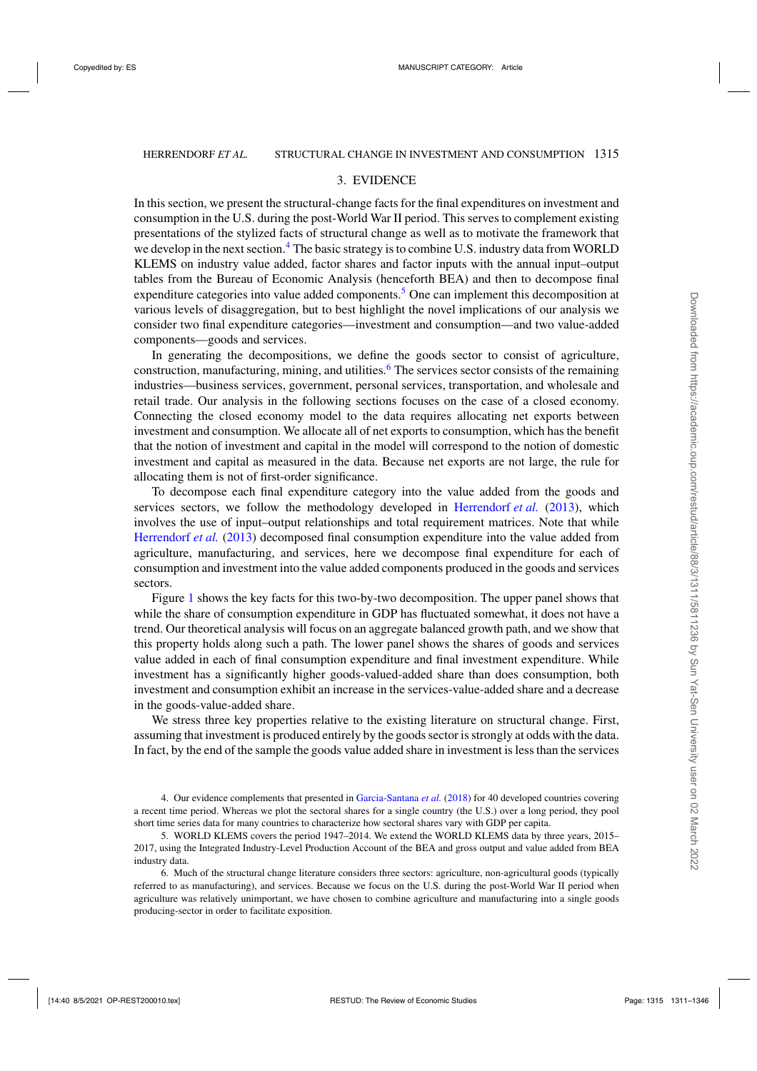#### 3. EVIDENCE

<span id="page-4-0"></span>In this section, we present the structural-change facts for the final expenditures on investment and consumption in the U.S. during the post-World War II period. This serves to complement existing presentations of the stylized facts of structural change as well as to motivate the framework that we develop in the next section.<sup>4</sup> The basic strategy is to combine U.S. industry data from WORLD KLEMS on industry value added, factor shares and factor inputs with the annual input–output tables from the Bureau of Economic Analysis (henceforth BEA) and then to decompose final expenditure categories into value added components.<sup>5</sup> One can implement this decomposition at various levels of disaggregation, but to best highlight the novel implications of our analysis we consider two final expenditure categories—investment and consumption—and two value-added components—goods and services.

In generating the decompositions, we define the goods sector to consist of agriculture, construction, manufacturing, mining, and utilities.<sup>6</sup> The services sector consists of the remaining industries—business services, government, personal services, transportation, and wholesale and retail trade. Our analysis in the following sections focuses on the case of a closed economy. Connecting the closed economy model to the data requires allocating net exports between investment and consumption. We allocate all of net exports to consumption, which has the benefit that the notion of investment and capital in the model will correspond to the notion of domestic investment and capital as measured in the data. Because net exports are not large, the rule for allocating them is not of first-order significance.

To decompose each final expenditure category into the value added from the goods and services sectors, we follow the methodology developed in [Herrendorf](#page-35-0) *et al.* [\(2013\)](#page-35-0), which involves the use of input–output relationships and total requirement matrices. Note that while [Herrendorf](#page-35-0) *et al.* [\(2013](#page-35-0)) decomposed final consumption expenditure into the value added from agriculture, manufacturing, and services, here we decompose final expenditure for each of consumption and investment into the value added components produced in the goods and services sectors.

Figure [1](#page-5-0) shows the key facts for this two-by-two decomposition. The upper panel shows that while the share of consumption expenditure in GDP has fluctuated somewhat, it does not have a trend. Our theoretical analysis will focus on an aggregate balanced growth path, and we show that this property holds along such a path. The lower panel shows the shares of goods and services value added in each of final consumption expenditure and final investment expenditure. While investment has a significantly higher goods-valued-added share than does consumption, both investment and consumption exhibit an increase in the services-value-added share and a decrease in the goods-value-added share.

We stress three key properties relative to the existing literature on structural change. First, assuming that investment is produced entirely by the goods sector is strongly at odds with the data. In fact, by the end of the sample the goods value added share in investment is less than the services

4. Our evidence complements that presented in [Garcia-Santana](#page-35-0) *et al.* [\(2018\)](#page-35-0) for 40 developed countries covering a recent time period. Whereas we plot the sectoral shares for a single country (the U.S.) over a long period, they pool short time series data for many countries to characterize how sectoral shares vary with GDP per capita.

5. WORLD KLEMS covers the period 1947–2014. We extend the WORLD KLEMS data by three years, 2015– 2017, using the Integrated Industry-Level Production Account of the BEA and gross output and value added from BEA industry data.

6. Much of the structural change literature considers three sectors: agriculture, non-agricultural goods (typically referred to as manufacturing), and services. Because we focus on the U.S. during the post-World War II period when agriculture was relatively unimportant, we have chosen to combine agriculture and manufacturing into a single goods producing-sector in order to facilitate exposition.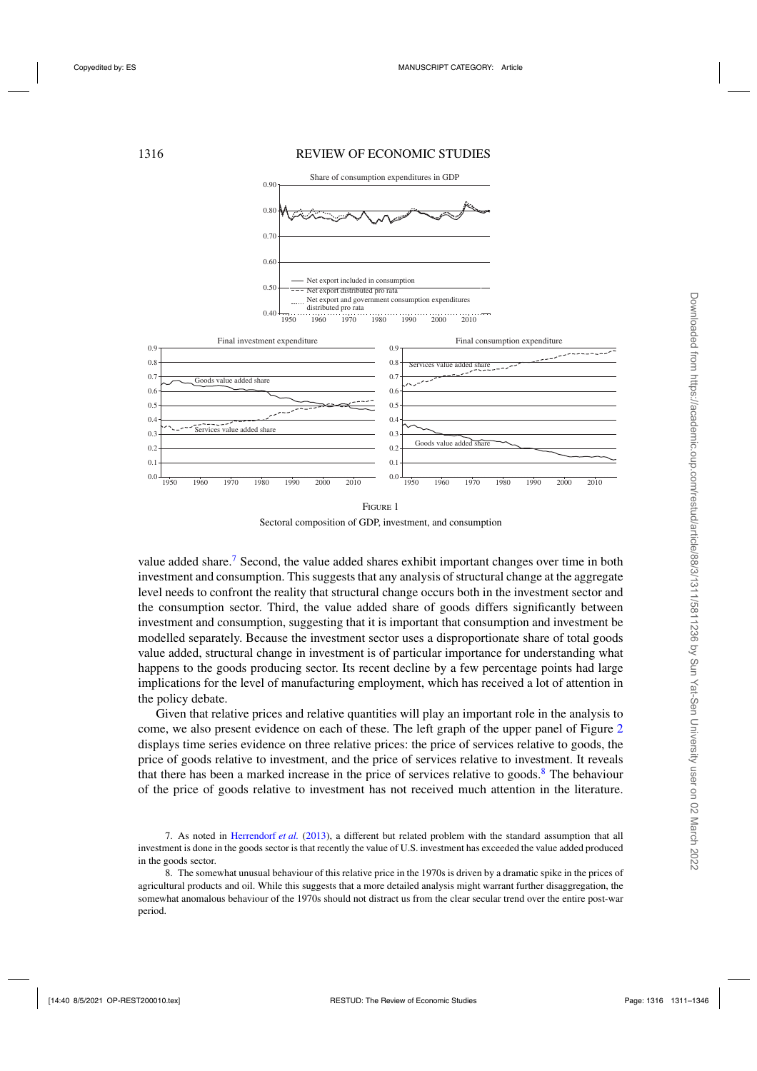#### <span id="page-5-0"></span>1316 REVIEW OF ECONOMIC STUDIES



Sectoral composition of GDP, investment, and consumption

value added share.<sup>7</sup> Second, the value added shares exhibit important changes over time in both investment and consumption. This suggests that any analysis of structural change at the aggregate level needs to confront the reality that structural change occurs both in the investment sector and the consumption sector. Third, the value added share of goods differs significantly between investment and consumption, suggesting that it is important that consumption and investment be modelled separately. Because the investment sector uses a disproportionate share of total goods value added, structural change in investment is of particular importance for understanding what happens to the goods producing sector. Its recent decline by a few percentage points had large implications for the level of manufacturing employment, which has received a lot of attention in the policy debate.

Given that relative prices and relative quantities will play an important role in the analysis to come, we also present evidence on each of these. The left graph of the upper panel of Figure [2](#page-6-0) displays time series evidence on three relative prices: the price of services relative to goods, the price of goods relative to investment, and the price of services relative to investment. It reveals that there has been a marked increase in the price of services relative to goods.<sup>8</sup> The behaviour of the price of goods relative to investment has not received much attention in the literature.

<sup>7.</sup> As noted in [Herrendorf](#page-35-0) *et al.* [\(2013\)](#page-35-0), a different but related problem with the standard assumption that all investment is done in the goods sector is that recently the value of U.S. investment has exceeded the value added produced in the goods sector.

<sup>8.</sup> The somewhat unusual behaviour of this relative price in the 1970s is driven by a dramatic spike in the prices of agricultural products and oil. While this suggests that a more detailed analysis might warrant further disaggregation, the somewhat anomalous behaviour of the 1970s should not distract us from the clear secular trend over the entire post-war period.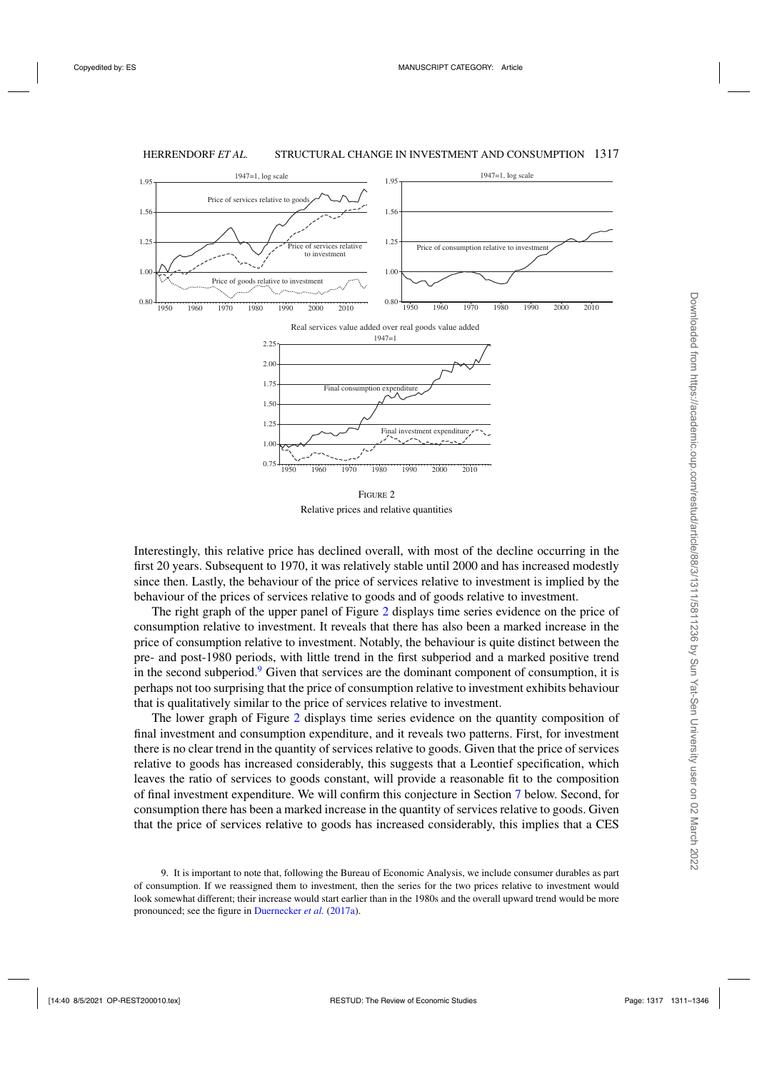<span id="page-6-0"></span>

Relative prices and relative quantities

Interestingly, this relative price has declined overall, with most of the decline occurring in the first 20 years. Subsequent to 1970, it was relatively stable until 2000 and has increased modestly since then. Lastly, the behaviour of the price of services relative to investment is implied by the behaviour of the prices of services relative to goods and of goods relative to investment.

The right graph of the upper panel of Figure 2 displays time series evidence on the price of consumption relative to investment. It reveals that there has also been a marked increase in the price of consumption relative to investment. Notably, the behaviour is quite distinct between the pre- and post-1980 periods, with little trend in the first subperiod and a marked positive trend in the second subperiod.<sup>9</sup> Given that services are the dominant component of consumption, it is perhaps not too surprising that the price of consumption relative to investment exhibits behaviour that is qualitatively similar to the price of services relative to investment.

The lower graph of Figure 2 displays time series evidence on the quantity composition of final investment and consumption expenditure, and it reveals two patterns. First, for investment there is no clear trend in the quantity of services relative to goods. Given that the price of services relative to goods has increased considerably, this suggests that a Leontief specification, which leaves the ratio of services to goods constant, will provide a reasonable fit to the composition of final investment expenditure. We will confirm this conjecture in Section [7](#page-21-0) below. Second, for consumption there has been a marked increase in the quantity of services relative to goods. Given that the price of services relative to goods has increased considerably, this implies that a CES

<sup>9.</sup> It is important to note that, following the Bureau of Economic Analysis, we include consumer durables as part of consumption. If we reassigned them to investment, then the series for the two prices relative to investment would look somewhat different; their increase would start earlier than in the 1980s and the overall upward trend would be more pronounced; see the figure in [Duernecker](#page-35-0) *et al.* [\(2017a](#page-35-0)).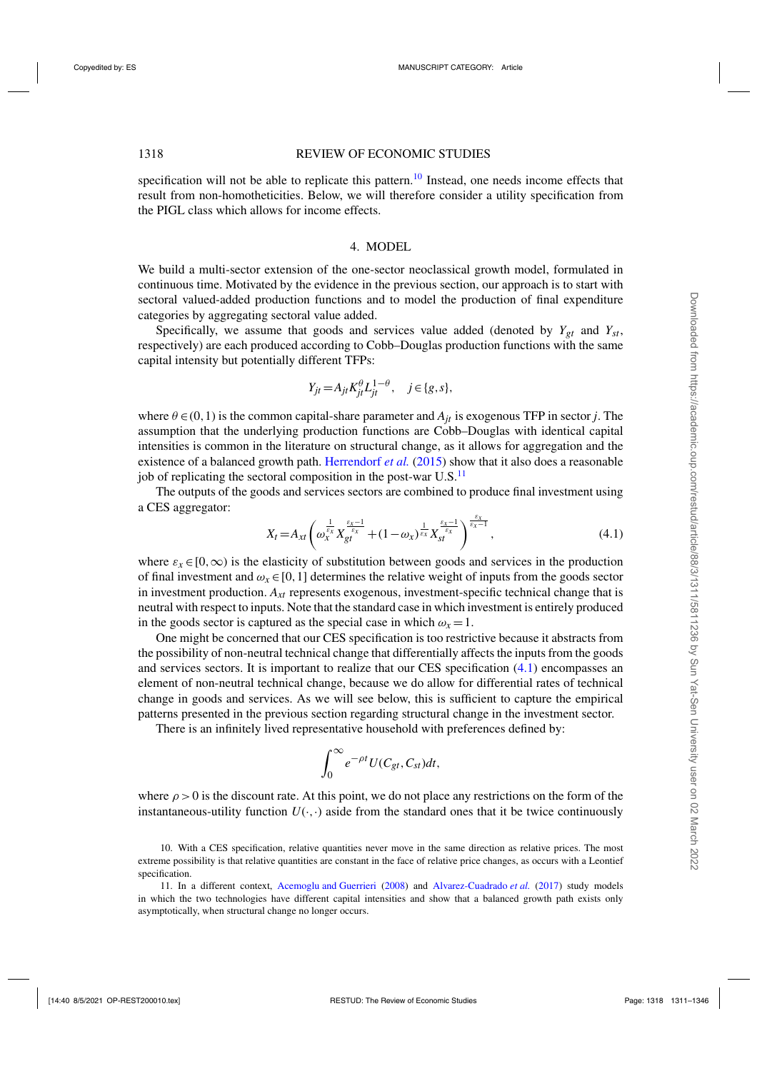<span id="page-7-0"></span>specification will not be able to replicate this pattern.<sup>10</sup> Instead, one needs income effects that result from non-homotheticities. Below, we will therefore consider a utility specification from the PIGL class which allows for income effects.

#### 4. MODEL

We build a multi-sector extension of the one-sector neoclassical growth model, formulated in continuous time. Motivated by the evidence in the previous section, our approach is to start with sectoral valued-added production functions and to model the production of final expenditure categories by aggregating sectoral value added.

Specifically, we assume that goods and services value added (denoted by  $Y_{gt}$  and  $Y_{st}$ , respectively) are each produced according to Cobb–Douglas production functions with the same capital intensity but potentially different TFPs:

$$
Y_{jt} = A_{jt} K_{jt}^{\theta} L_{jt}^{1-\theta}, \quad j \in \{g, s\},\
$$

where  $\theta \in (0,1)$  is the common capital-share parameter and  $A_{it}$  is exogenous TFP in sector *j*. The assumption that the underlying production functions are Cobb–Douglas with identical capital intensities is common in the literature on structural change, as it allows for aggregation and the existence of a balanced growth path. [Herrendorf](#page-35-0) *et al.* [\(2015\)](#page-35-0) show that it also does a reasonable job of replicating the sectoral composition in the post-war  $U.S.<sup>11</sup>$ 

The outputs of the goods and services sectors are combined to produce final investment using a CES aggregator:

$$
X_t = A_{xt} \left( \omega_x^{\frac{1}{\varepsilon_x}} X_{gt}^{\frac{\varepsilon_x - 1}{\varepsilon_x}} + (1 - \omega_x)^{\frac{1}{\varepsilon_x}} X_{st}^{\frac{\varepsilon_x - 1}{\varepsilon_x}} \right)^{\frac{\varepsilon_x}{\varepsilon_x - 1}}, \tag{4.1}
$$

where  $\varepsilon_x \in [0,\infty)$  is the elasticity of substitution between goods and services in the production of final investment and  $\omega_x \in [0,1]$  determines the relative weight of inputs from the goods sector in investment production. *Axt* represents exogenous, investment-specific technical change that is neutral with respect to inputs. Note that the standard case in which investment is entirely produced in the goods sector is captured as the special case in which  $\omega_x = 1$ .

One might be concerned that our CES specification is too restrictive because it abstracts from the possibility of non-neutral technical change that differentially affects the inputs from the goods and services sectors. It is important to realize that our CES specification (4.1) encompasses an element of non-neutral technical change, because we do allow for differential rates of technical change in goods and services. As we will see below, this is sufficient to capture the empirical patterns presented in the previous section regarding structural change in the investment sector.

There is an infinitely lived representative household with preferences defined by:

$$
\int_0^\infty e^{-\rho t} U(C_{gt}, C_{st}) dt,
$$

where  $\rho > 0$  is the discount rate. At this point, we do not place any restrictions on the form of the instantaneous-utility function  $U(\cdot, \cdot)$  aside from the standard ones that it be twice continuously

<sup>10.</sup> With a CES specification, relative quantities never move in the same direction as relative prices. The most extreme possibility is that relative quantities are constant in the face of relative price changes, as occurs with a Leontief specification.

<sup>11.</sup> In a different context, [Acemoglu and Guerrieri](#page-35-0) [\(2008\)](#page-35-0) and [Alvarez-Cuadrado](#page-35-0) *et al.* [\(2017\)](#page-35-0) study models in which the two technologies have different capital intensities and show that a balanced growth path exists only asymptotically, when structural change no longer occurs.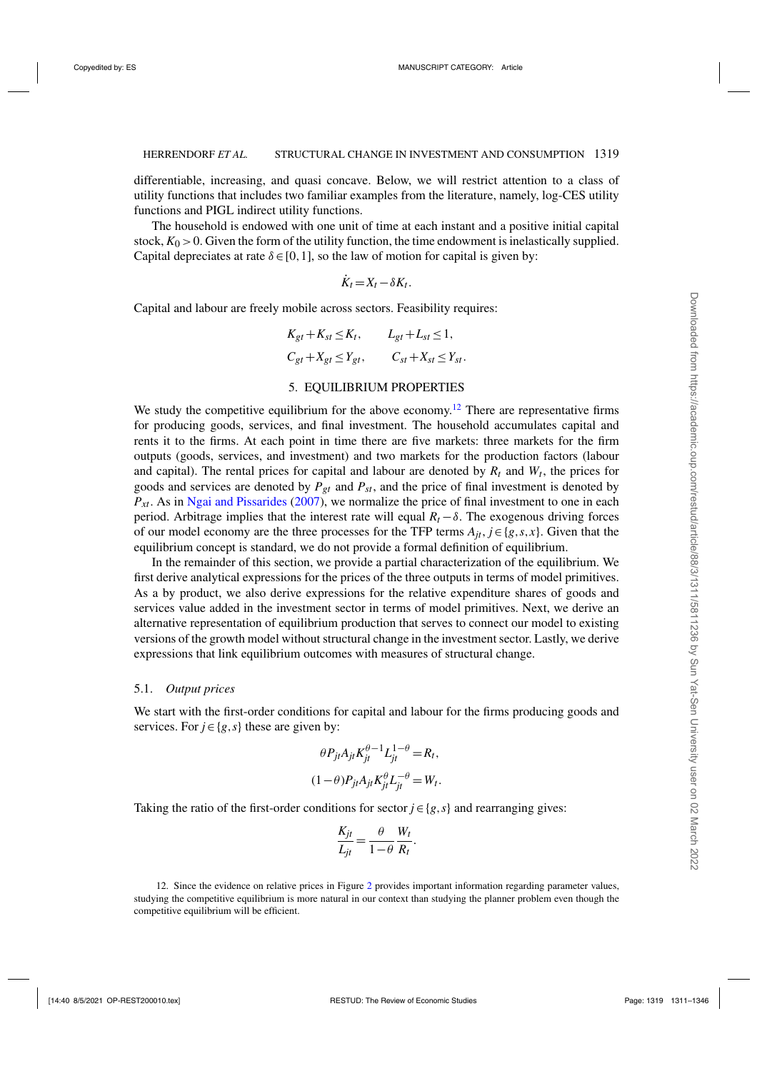<span id="page-8-0"></span>differentiable, increasing, and quasi concave. Below, we will restrict attention to a class of utility functions that includes two familiar examples from the literature, namely, log-CES utility functions and PIGL indirect utility functions.

The household is endowed with one unit of time at each instant and a positive initial capital stock,  $K_0 > 0$ . Given the form of the utility function, the time endowment is inelastically supplied. Capital depreciates at rate  $\delta \in [0,1]$ , so the law of motion for capital is given by:

$$
\dot{K}_t = X_t - \delta K_t.
$$

Capital and labour are freely mobile across sectors. Feasibility requires:

$$
K_{gt} + K_{st} \le K_t, \qquad L_{gt} + L_{st} \le 1,
$$
  

$$
C_{gt} + X_{gt} \le Y_{gt}, \qquad C_{st} + X_{st} \le Y_{st}.
$$

#### 5. EQUILIBRIUM PROPERTIES

We study the competitive equilibrium for the above economy.<sup>12</sup> There are representative firms for producing goods, services, and final investment. The household accumulates capital and rents it to the firms. At each point in time there are five markets: three markets for the firm outputs (goods, services, and investment) and two markets for the production factors (labour and capital). The rental prices for capital and labour are denoted by  $R_t$  and  $W_t$ , the prices for goods and services are denoted by  $P_{gt}$  and  $P_{st}$ , and the price of final investment is denoted by *Pxt*. As in [Ngai and Pissarides](#page-35-0) [\(2007\)](#page-35-0), we normalize the price of final investment to one in each period. Arbitrage implies that the interest rate will equal  $R_t - \delta$ . The exogenous driving forces of our model economy are the three processes for the TFP terms  $A_{it}$ ,  $j \in \{g, s, x\}$ . Given that the equilibrium concept is standard, we do not provide a formal definition of equilibrium.

In the remainder of this section, we provide a partial characterization of the equilibrium. We first derive analytical expressions for the prices of the three outputs in terms of model primitives. As a by product, we also derive expressions for the relative expenditure shares of goods and services value added in the investment sector in terms of model primitives. Next, we derive an alternative representation of equilibrium production that serves to connect our model to existing versions of the growth model without structural change in the investment sector. Lastly, we derive expressions that link equilibrium outcomes with measures of structural change.

#### 5.1. *Output prices*

We start with the first-order conditions for capital and labour for the firms producing goods and services. For  $j \in \{g, s\}$  these are given by:

$$
\theta P_{jt} A_{jt} K_{jt}^{\theta - 1} L_{jt}^{1 - \theta} = R_t,
$$
  

$$
(1 - \theta) P_{jt} A_{jt} K_{jt}^{\theta} L_{jt}^{-\theta} = W_t.
$$

Taking the ratio of the first-order conditions for sector  $j \in \{g, s\}$  and rearranging gives:

$$
\frac{K_{jt}}{L_{jt}} = \frac{\theta}{1-\theta} \frac{W_t}{R_t}.
$$

1[2](#page-6-0). Since the evidence on relative prices in Figure 2 provides important information regarding parameter values, studying the competitive equilibrium is more natural in our context than studying the planner problem even though the competitive equilibrium will be efficient.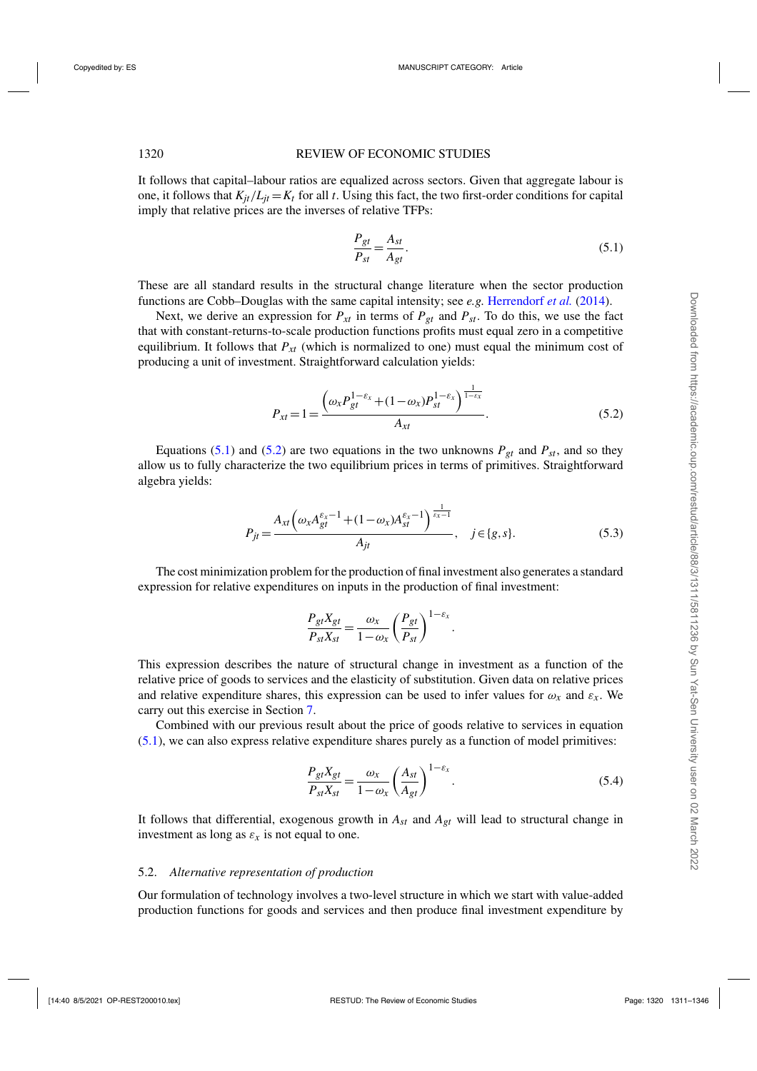<span id="page-9-0"></span>It follows that capital–labour ratios are equalized across sectors. Given that aggregate labour is one, it follows that  $K_{it}/L_{it} = K_t$  for all t. Using this fact, the two first-order conditions for capital imply that relative prices are the inverses of relative TFPs:

$$
\frac{P_{gt}}{P_{st}} = \frac{A_{st}}{A_{gt}}.\t(5.1)
$$

These are all standard results in the structural change literature when the sector production functions are Cobb–Douglas with the same capital intensity; see *e.g.* [Herrendorf](#page-35-0) *et al.* [\(2014\)](#page-35-0).

Next, we derive an expression for  $P_{xt}$  in terms of  $P_{gt}$  and  $P_{st}$ . To do this, we use the fact that with constant-returns-to-scale production functions profits must equal zero in a competitive equilibrium. It follows that  $P_{xt}$  (which is normalized to one) must equal the minimum cost of producing a unit of investment. Straightforward calculation yields:

$$
P_{xt} = 1 = \frac{\left(\omega_x P_{gt}^{1-\varepsilon_x} + (1-\omega_x) P_{st}^{1-\varepsilon_x}\right)^{\frac{1}{1-\varepsilon_x}}}{A_{xt}}.
$$
\n(5.2)

Equations (5.1) and (5.2) are two equations in the two unknowns  $P_{gt}$  and  $P_{st}$ , and so they allow us to fully characterize the two equilibrium prices in terms of primitives. Straightforward algebra yields:

$$
P_{jt} = \frac{A_{xt} \left(\omega_x A_{gt}^{\varepsilon_x - 1} + (1 - \omega_x) A_{st}^{\varepsilon_x - 1}\right)^{\frac{1}{\varepsilon_x - 1}}}{A_{jt}}, \quad j \in \{g, s\}.
$$
 (5.3)

The cost minimization problem for the production of final investment also generates a standard expression for relative expenditures on inputs in the production of final investment:

$$
\frac{P_{gt}X_{gt}}{P_{st}X_{st}} = \frac{\omega_x}{1 - \omega_x} \left(\frac{P_{gt}}{P_{st}}\right)^{1 - \varepsilon_x}.
$$

This expression describes the nature of structural change in investment as a function of the relative price of goods to services and the elasticity of substitution. Given data on relative prices and relative expenditure shares, this expression can be used to infer values for  $\omega_x$  and  $\varepsilon_x$ . We carry out this exercise in Section [7.](#page-21-0)

Combined with our previous result about the price of goods relative to services in equation (5.1), we can also express relative expenditure shares purely as a function of model primitives:

$$
\frac{P_{gt}X_{gt}}{P_{st}X_{st}} = \frac{\omega_x}{1 - \omega_x} \left(\frac{A_{st}}{A_{gt}}\right)^{1 - \varepsilon_x}.
$$
\n(5.4)

It follows that differential, exogenous growth in *Ast* and *Agt* will lead to structural change in investment as long as  $\varepsilon_x$  is not equal to one.

#### 5.2. *Alternative representation of production*

Our formulation of technology involves a two-level structure in which we start with value-added production functions for goods and services and then produce final investment expenditure by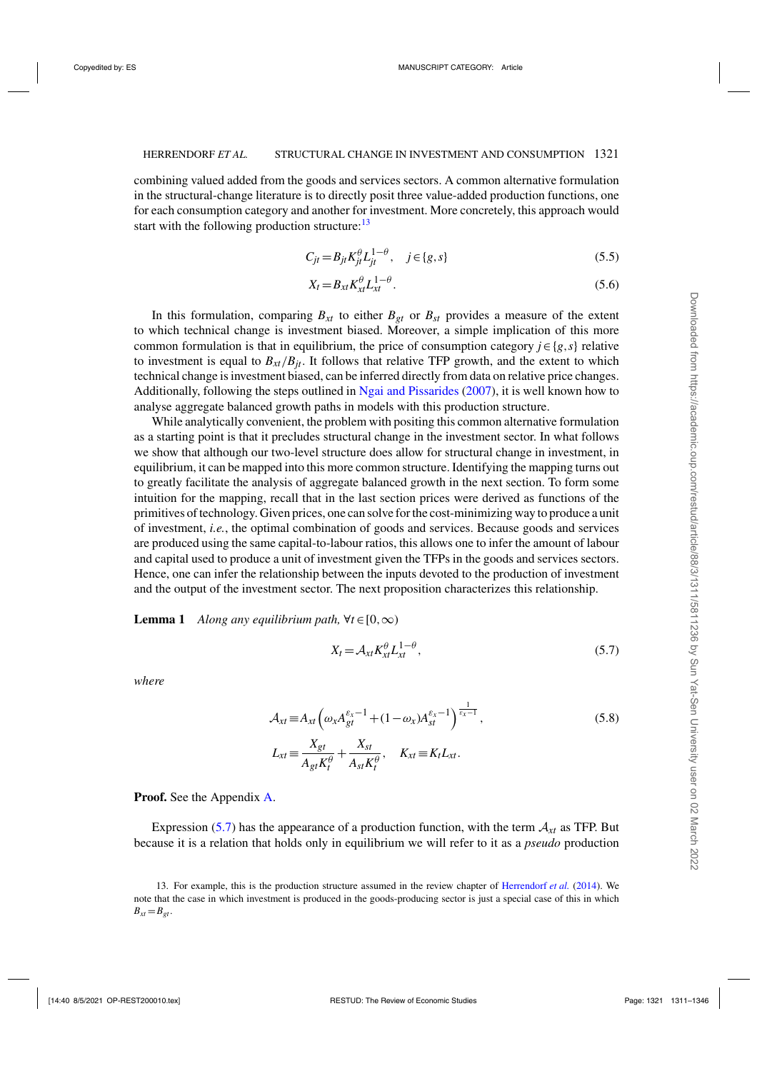<span id="page-10-0"></span>combining valued added from the goods and services sectors. A common alternative formulation in the structural-change literature is to directly posit three value-added production functions, one for each consumption category and another for investment. More concretely, this approach would start with the following production structure: $13$ 

$$
C_{jt} = B_{jt} K_{jt}^{\theta} L_{jt}^{1-\theta}, \quad j \in \{g, s\}
$$
 (5.5)

$$
X_t = B_{xt} K_{xt}^{\theta} L_{xt}^{1-\theta}.
$$
\n(5.6)

In this formulation, comparing  $B_{xt}$  to either  $B_{gt}$  or  $B_{st}$  provides a measure of the extent to which technical change is investment biased. Moreover, a simple implication of this more common formulation is that in equilibrium, the price of consumption category  $j \in \{g, s\}$  relative to investment is equal to  $B_{xt}/B_{it}$ . It follows that relative TFP growth, and the extent to which technical change is investment biased, can be inferred directly from data on relative price changes. Additionally, following the steps outlined in [Ngai and Pissarides](#page-35-0) [\(2007\)](#page-35-0), it is well known how to analyse aggregate balanced growth paths in models with this production structure.

While analytically convenient, the problem with positing this common alternative formulation as a starting point is that it precludes structural change in the investment sector. In what follows we show that although our two-level structure does allow for structural change in investment, in equilibrium, it can be mapped into this more common structure. Identifying the mapping turns out to greatly facilitate the analysis of aggregate balanced growth in the next section. To form some intuition for the mapping, recall that in the last section prices were derived as functions of the primitives of technology. Given prices, one can solve for the cost-minimizing way to produce a unit of investment, *i.e.*, the optimal combination of goods and services. Because goods and services are produced using the same capital-to-labour ratios, this allows one to infer the amount of labour and capital used to produce a unit of investment given the TFPs in the goods and services sectors. Hence, one can infer the relationship between the inputs devoted to the production of investment and the output of the investment sector. The next proposition characterizes this relationship.

**Lemma 1** *Along any equilibrium path,*  $\forall t \in [0, \infty)$ 

$$
X_t = \mathcal{A}_{xt} K_{xt}^{\theta} L_{xt}^{1-\theta}, \tag{5.7}
$$

*where*

$$
\mathcal{A}_{xt} \equiv A_{xt} \left( \omega_x A_{gt}^{\varepsilon_x - 1} + (1 - \omega_x) A_{st}^{\varepsilon_x - 1} \right)^{\frac{1}{\varepsilon_x - 1}},
$$
\n
$$
L_{xt} \equiv \frac{X_{gt}}{A_{gt} K_t^{\theta}} + \frac{X_{st}}{A_{st} K_t^{\theta}}, \quad K_{xt} \equiv K_t L_{xt}.
$$
\n(5.8)

**Proof.** See the Appendix [A.](#page-33-0)

Expression (5.7) has the appearance of a production function, with the term  $A_{xt}$  as TFP. But because it is a relation that holds only in equilibrium we will refer to it as a *pseudo* production

<sup>13.</sup> For example, this is the production structure assumed in the review chapter of [Herrendorf](#page-35-0) *et al.* [\(2014](#page-35-0)). We note that the case in which investment is produced in the goods-producing sector is just a special case of this in which  $B_{xt} = B_{gt}$ .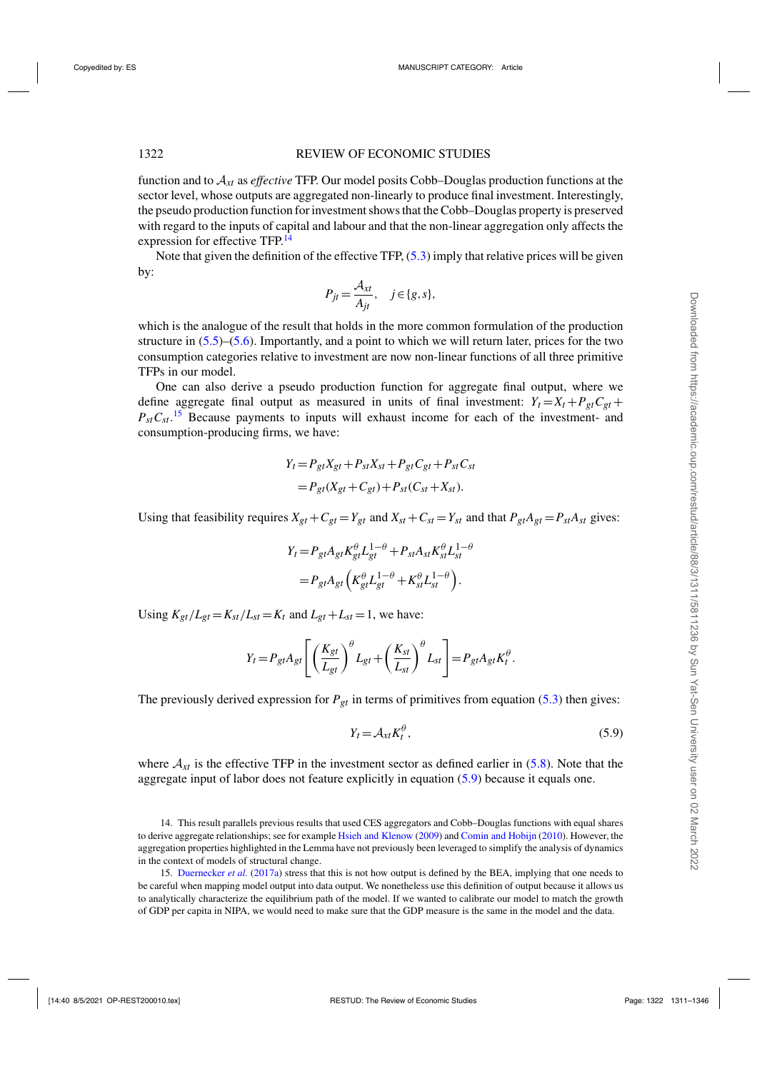<span id="page-11-0"></span>function and to A*xt* as *effective* TFP. Our model posits Cobb–Douglas production functions at the sector level, whose outputs are aggregated non-linearly to produce final investment. Interestingly, the pseudo production function for investment shows that the Cobb–Douglas property is preserved with regard to the inputs of capital and labour and that the non-linear aggregation only affects the expression for effective TFP.<sup>14</sup>

Note that given the definition of the effective TFP, [\(5.3\)](#page-9-0) imply that relative prices will be given by:

$$
P_{jt} = \frac{\mathcal{A}_{xt}}{A_{jt}}, \quad j \in \{g, s\},\
$$

which is the analogue of the result that holds in the more common formulation of the production structure in [\(5.5\)](#page-10-0)–[\(5.6\)](#page-10-0). Importantly, and a point to which we will return later, prices for the two consumption categories relative to investment are now non-linear functions of all three primitive TFPs in our model.

One can also derive a pseudo production function for aggregate final output, where we define aggregate final output as measured in units of final investment:  $Y_t = X_t + P_{gt}C_{gt} + P_{gt}C_{gt}$  $P_{st}C_{st}$ <sup>15</sup> Because payments to inputs will exhaust income for each of the investment- and consumption-producing firms, we have:

$$
Y_t = P_{gt}X_{gt} + P_{st}X_{st} + P_{gt}C_{gt} + P_{st}C_{st}
$$

$$
= P_{gt}(X_{gt} + C_{gt}) + P_{st}(C_{st} + X_{st}).
$$

Using that feasibility requires  $X_{gt} + C_{gt} = Y_{gt}$  and  $X_{st} + C_{st} = Y_{st}$  and that  $P_{gt}A_{gt} = P_{st}A_{st}$  gives:

$$
Y_t = P_{gt}A_{gt}K_{gt}^{\theta}L_{gt}^{1-\theta} + P_{st}A_{st}K_{st}^{\theta}L_{st}^{1-\theta}
$$

$$
= P_{gt}A_{gt}\left(K_{gt}^{\theta}L_{gt}^{1-\theta} + K_{st}^{\theta}L_{st}^{1-\theta}\right).
$$

Using  $K_{gt}/L_{gt} = K_{st}/L_{st} = K_t$  and  $L_{gt} + L_{st} = 1$ , we have:

$$
Y_t = P_{gt} A_{gt} \left[ \left( \frac{K_{gt}}{L_{gt}} \right)^{\theta} L_{gt} + \left( \frac{K_{st}}{L_{st}} \right)^{\theta} L_{st} \right] = P_{gt} A_{gt} K_t^{\theta}.
$$

The previously derived expression for  $P_{gt}$  in terms of primitives from equation [\(5.3\)](#page-9-0) then gives:

$$
Y_t = \mathcal{A}_{xt} K_t^{\theta},\tag{5.9}
$$

where  $A_{xt}$  is the effective TFP in the investment sector as defined earlier in [\(5.8\)](#page-10-0). Note that the aggregate input of labor does not feature explicitly in equation (5.9) because it equals one.

14. This result parallels previous results that used CES aggregators and Cobb–Douglas functions with equal shares to derive aggregate relationships; see for example [Hsieh and Klenow](#page-35-0) [\(2009](#page-35-0)) and [Comin and Hobijn](#page-35-0) [\(2010](#page-35-0)). However, the aggregation properties highlighted in the Lemma have not previously been leveraged to simplify the analysis of dynamics in the context of models of structural change.

15. [Duernecker](#page-35-0) *et al.* [\(2017a](#page-35-0)) stress that this is not how output is defined by the BEA, implying that one needs to be careful when mapping model output into data output. We nonetheless use this definition of output because it allows us to analytically characterize the equilibrium path of the model. If we wanted to calibrate our model to match the growth of GDP per capita in NIPA, we would need to make sure that the GDP measure is the same in the model and the data.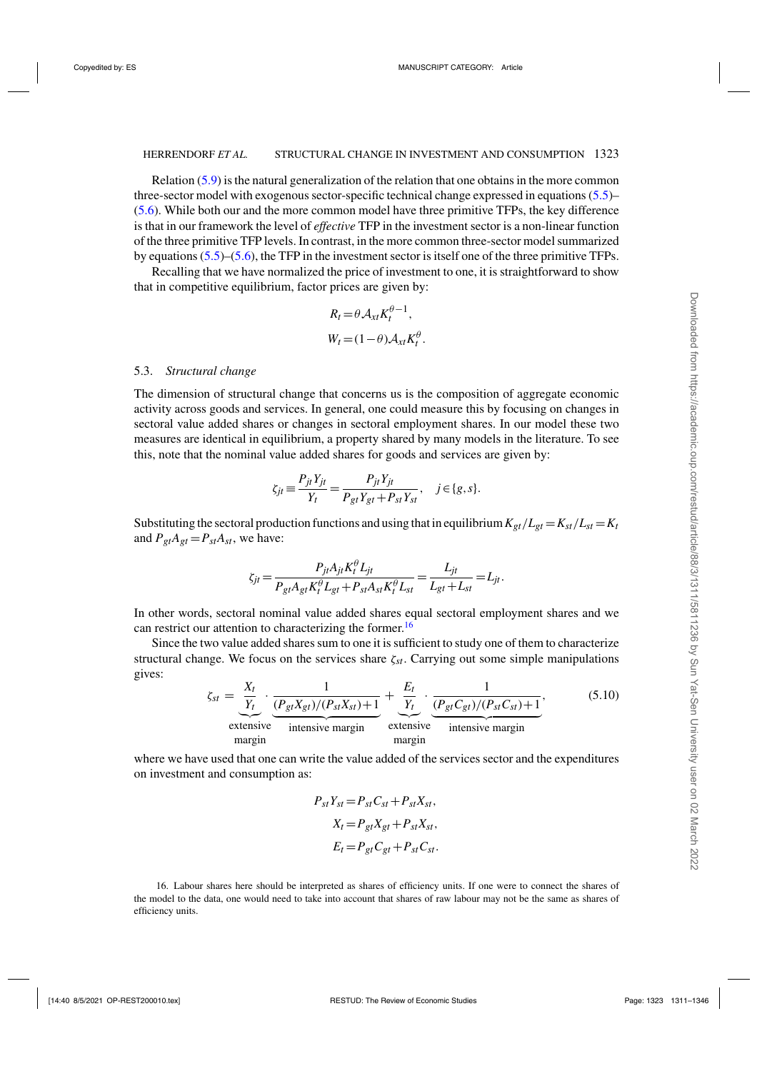<span id="page-12-0"></span>Relation [\(5.9\)](#page-11-0) is the natural generalization of the relation that one obtains in the more common three-sector model with exogenous sector-specific technical change expressed in equations [\(5.5\)](#page-10-0)– [\(5.6\)](#page-10-0). While both our and the more common model have three primitive TFPs, the key difference is that in our framework the level of *effective* TFP in the investment sector is a non-linear function of the three primitive TFP levels. In contrast, in the more common three-sector model summarized by equations [\(5.5\)](#page-10-0)–[\(5.6\)](#page-10-0), the TFP in the investment sector is itself one of the three primitive TFPs.

Recalling that we have normalized the price of investment to one, it is straightforward to show that in competitive equilibrium, factor prices are given by:

$$
R_t = \theta A_{xt} K_t^{\theta - 1},
$$
  

$$
W_t = (1 - \theta) A_{xt} K_t^{\theta}.
$$

#### 5.3. *Structural change*

The dimension of structural change that concerns us is the composition of aggregate economic activity across goods and services. In general, one could measure this by focusing on changes in sectoral value added shares or changes in sectoral employment shares. In our model these two measures are identical in equilibrium, a property shared by many models in the literature. To see this, note that the nominal value added shares for goods and services are given by:

$$
\zeta_{jt} \equiv \frac{P_{jt}Y_{jt}}{Y_t} = \frac{P_{jt}Y_{jt}}{P_{gt}Y_{gt} + P_{st}Y_{st}}, \quad j \in \{g, s\}.
$$

Substituting the sectoral production functions and using that in equilibrium  $K_{gt}/L_{gt} = K_{st}/L_{st} = K_t$ and  $P_{gt}A_{gt} = P_{st}A_{st}$ , we have:

$$
\zeta_{jt} = \frac{P_{jt}A_{jt}K_t^{\theta}L_{jt}}{P_{gt}A_{gt}K_t^{\theta}L_{gt} + P_{st}A_{st}K_t^{\theta}L_{st}} = \frac{L_{jt}}{L_{gt}+L_{st}} = L_{jt}.
$$

In other words, sectoral nominal value added shares equal sectoral employment shares and we can restrict our attention to characterizing the former.<sup>16</sup>

Since the two value added shares sum to one it is sufficient to study one of them to characterize structural change. We focus on the services share  $\zeta_{st}$ . Carrying out some simple manipulations gives:

$$
\zeta_{st} = \underbrace{\frac{X_t}{Y_t}}_{\text{extensive}} \cdot \underbrace{\frac{1}{(P_{gt}X_{gt})/(P_{st}X_{st})+1}}_{\text{intensive margin}} + \underbrace{\frac{E_t}{Y_t}}_{\text{extensive}} \cdot \underbrace{\frac{1}{(P_{gt}C_{gt})/(P_{st}C_{st})+1}}_{\text{intensive margin}},
$$
(5.10)

where we have used that one can write the value added of the services sector and the expenditures on investment and consumption as:

$$
P_{st}Y_{st} = P_{st}C_{st} + P_{st}X_{st},
$$
  
\n
$$
X_t = P_{gt}X_{gt} + P_{st}X_{st},
$$
  
\n
$$
E_t = P_{gt}C_{gt} + P_{st}C_{st}.
$$

16. Labour shares here should be interpreted as shares of efficiency units. If one were to connect the shares of the model to the data, one would need to take into account that shares of raw labour may not be the same as shares of efficiency units.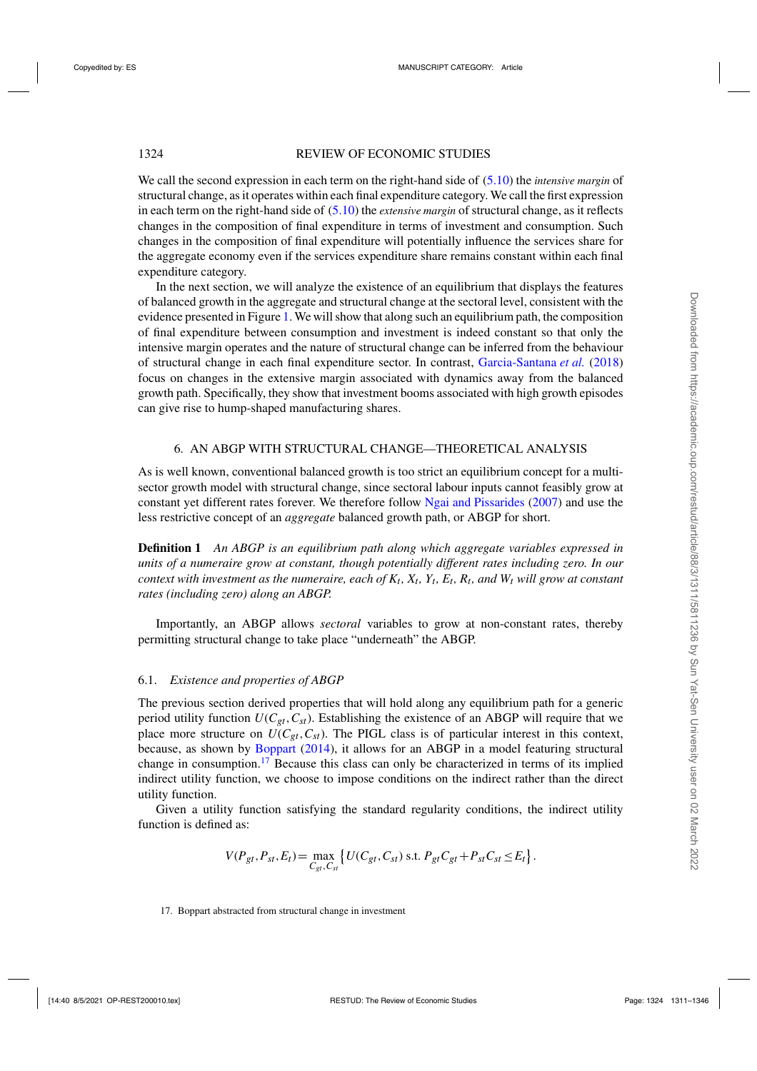<span id="page-13-0"></span>We call the second expression in each term on the right-hand side of [\(5.10\)](#page-12-0) the *intensive margin* of structural change, as it operates within each final expenditure category. We call the first expression in each term on the right-hand side of [\(5.10\)](#page-12-0) the *extensive margin* of structural change, as it reflects changes in the composition of final expenditure in terms of investment and consumption. Such changes in the composition of final expenditure will potentially influence the services share for the aggregate economy even if the services expenditure share remains constant within each final expenditure category.

In the next section, we will analyze the existence of an equilibrium that displays the features of balanced growth in the aggregate and structural change at the sectoral level, consistent with the evidence presented in Figure [1.](#page-5-0) We will show that along such an equilibrium path, the composition of final expenditure between consumption and investment is indeed constant so that only the intensive margin operates and the nature of structural change can be inferred from the behaviour of structural change in each final expenditure sector. In contrast, [Garcia-Santana](#page-35-0) *et al.* [\(2018\)](#page-35-0) focus on changes in the extensive margin associated with dynamics away from the balanced growth path. Specifically, they show that investment booms associated with high growth episodes can give rise to hump-shaped manufacturing shares.

#### 6. AN ABGP WITH STRUCTURAL CHANGE—THEORETICAL ANALYSIS

As is well known, conventional balanced growth is too strict an equilibrium concept for a multisector growth model with structural change, since sectoral labour inputs cannot feasibly grow at constant yet different rates forever. We therefore follow [Ngai and Pissarides](#page-35-0) [\(2007\)](#page-35-0) and use the less restrictive concept of an *aggregate* balanced growth path, or ABGP for short.

**Definition 1** *An ABGP is an equilibrium path along which aggregate variables expressed in units of a numeraire grow at constant, though potentially different rates including zero. In our context with investment as the numeraire, each of*  $K_t$ *,*  $X_t$ *,*  $Y_t$ *,*  $E_t$ *,*  $R_t$ *, and*  $W_t$  *will grow at constant rates (including zero) along an ABGP.*

Importantly, an ABGP allows *sectoral* variables to grow at non-constant rates, thereby permitting structural change to take place "underneath" the ABGP.

#### 6.1. *Existence and properties of ABGP*

The previous section derived properties that will hold along any equilibrium path for a generic period utility function  $U(C_{gt}, C_{st})$ . Establishing the existence of an ABGP will require that we place more structure on  $U(C_{gt}, C_{st})$ . The PIGL class is of particular interest in this context, because, as shown by [Boppart](#page-35-0) [\(2014\)](#page-35-0), it allows for an ABGP in a model featuring structural change in consumption.<sup>17</sup> Because this class can only be characterized in terms of its implied indirect utility function, we choose to impose conditions on the indirect rather than the direct utility function.

Given a utility function satisfying the standard regularity conditions, the indirect utility function is defined as:

$$
V(P_{gt}, P_{st}, E_t) = \max_{C_{gt}, C_{st}} \left\{ U(C_{gt}, C_{st}) \text{ s.t. } P_{gt} C_{gt} + P_{st} C_{st} \le E_t \right\}.
$$

17. Boppart abstracted from structural change in investment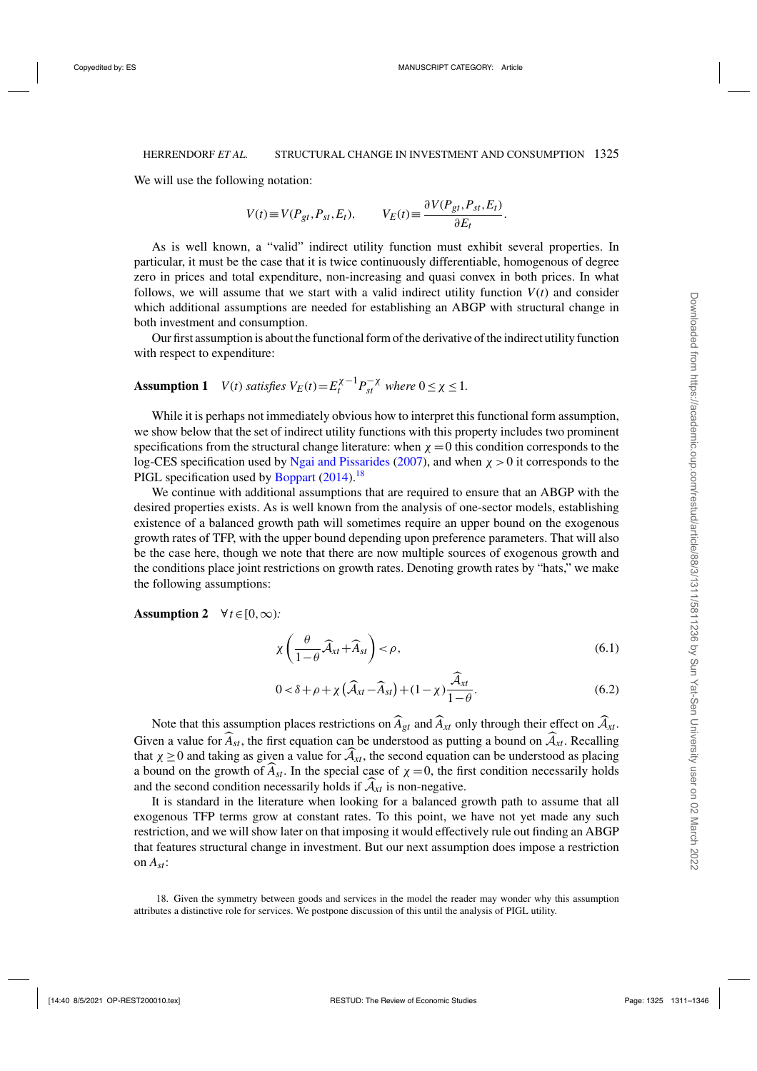<span id="page-14-0"></span>We will use the following notation:

$$
V(t) \equiv V(P_{gt}, P_{st}, E_t), \qquad V_E(t) \equiv \frac{\partial V(P_{gt}, P_{st}, E_t)}{\partial E_t}.
$$

As is well known, a "valid" indirect utility function must exhibit several properties. In particular, it must be the case that it is twice continuously differentiable, homogenous of degree zero in prices and total expenditure, non-increasing and quasi convex in both prices. In what follows, we will assume that we start with a valid indirect utility function  $V(t)$  and consider which additional assumptions are needed for establishing an ABGP with structural change in both investment and consumption.

Our first assumption is about the functional form of the derivative of the indirect utility function with respect to expenditure:

# **Assumption 1** *V*(*t*) *satisfies*  $V_E(t) = E_t^{\chi-1} P_{st}^{-\chi}$  *where*  $0 \le \chi \le 1$ *.*

While it is perhaps not immediately obvious how to interpret this functional form assumption, we show below that the set of indirect utility functions with this property includes two prominent specifications from the structural change literature: when  $\chi = 0$  this condition corresponds to the log-CES specification used by [Ngai and Pissarides](#page-35-0) [\(2007\)](#page-35-0), and when  $\chi > 0$  it corresponds to the PIGL specification used by [Boppart](#page-35-0) [\(2014](#page-35-0)).<sup>18</sup>

We continue with additional assumptions that are required to ensure that an ABGP with the desired properties exists. As is well known from the analysis of one-sector models, establishing existence of a balanced growth path will sometimes require an upper bound on the exogenous growth rates of TFP, with the upper bound depending upon preference parameters. That will also be the case here, though we note that there are now multiple sources of exogenous growth and the conditions place joint restrictions on growth rates. Denoting growth rates by "hats," we make the following assumptions:

**Assumption 2**  $\forall t \in [0, \infty)$ :

$$
\chi\left(\frac{\theta}{1-\theta}\widehat{\mathcal{A}}_{xt}+\widehat{A}_{st}\right)<\rho,\tag{6.1}
$$

$$
0 < \delta + \rho + \chi \left(\widehat{\mathcal{A}}_{xt} - \widehat{\mathcal{A}}_{st}\right) + (1 - \chi) \frac{\mathcal{A}_{xt}}{1 - \theta}.
$$
 (6.2)

Note that this assumption places restrictions on  $\widehat{A}_{gt}$  and  $\widehat{A}_{xt}$  only through their effect on  $\widehat{A}_{xt}$ . Given a value for  $\widehat{A}_{st}$ , the first equation can be understood as putting a bound on  $\widehat{A}_{xt}$ . Recalling that  $\chi \geq 0$  and taking as given a value for  $\widehat{A}_{xt}$ , the second equation can be understood as placing a bound on the growth of  $A_{st}$ . In the special case of  $\chi = 0$ , the first condition necessarily holds and the second condition necessarily holds if  $A_{xt}$  is non-negative.

It is standard in the literature when looking for a balanced growth path to assume that all exogenous TFP terms grow at constant rates. To this point, we have not yet made any such restriction, and we will show later on that imposing it would effectively rule out finding an ABGP that features structural change in investment. But our next assumption does impose a restriction on *Ast*:

18. Given the symmetry between goods and services in the model the reader may wonder why this assumption attributes a distinctive role for services. We postpone discussion of this until the analysis of PIGL utility.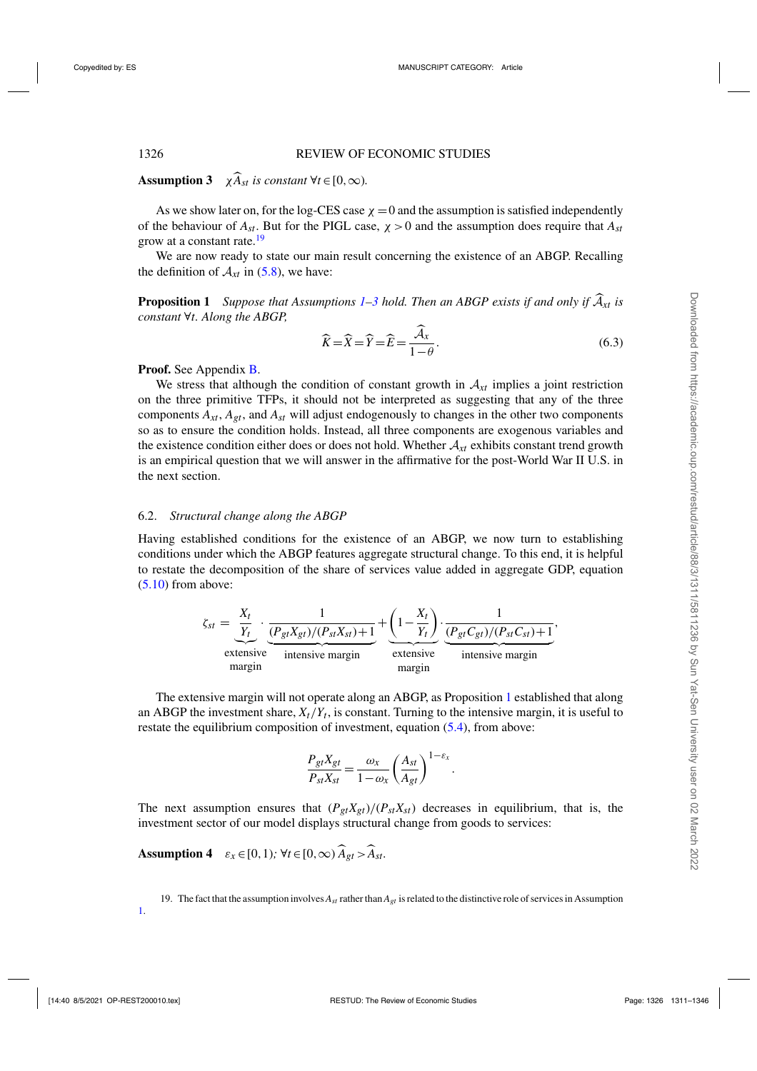<span id="page-15-0"></span>**Assumption 3**  $\chi \widehat{A}_{st}$  *is constant*  $\forall t \in [0, \infty)$ *.* 

As we show later on, for the log-CES case  $\chi = 0$  and the assumption is satisfied independently of the behaviour of  $A_{st}$ . But for the PIGL case,  $\chi > 0$  and the assumption does require that  $A_{st}$ grow at a constant rate.<sup>19</sup>

We are now ready to state our main result concerning the existence of an ABGP. Recalling the definition of  $A_{xt}$  in [\(5.8\)](#page-10-0), we have:

**Proposition 1** *Suppose that Assumptions*  $1-3$  *hold. Then an ABGP exists if and only if*  $\widehat{A}_{xt}$  *is constant* ∀*t. Along the ABGP,*

$$
\widehat{K} = \widehat{X} = \widehat{Y} = \widehat{E} = \frac{\widehat{\mathcal{A}}_x}{1 - \theta}.
$$
\n(6.3)

**Proof.** See Appendix [B.](#page-33-0)

We stress that although the condition of constant growth in  $A_{xt}$  implies a joint restriction on the three primitive TFPs, it should not be interpreted as suggesting that any of the three components  $A_{xt}$ ,  $A_{gt}$ , and  $A_{st}$  will adjust endogenously to changes in the other two components so as to ensure the condition holds. Instead, all three components are exogenous variables and the existence condition either does or does not hold. Whether  $A_{xt}$  exhibits constant trend growth is an empirical question that we will answer in the affirmative for the post-World War II U.S. in the next section.

#### 6.2. *Structural change along the ABGP*

Having established conditions for the existence of an ABGP, we now turn to establishing conditions under which the ABGP features aggregate structural change. To this end, it is helpful to restate the decomposition of the share of services value added in aggregate GDP, equation  $(5.10)$  from above:

$$
\zeta_{st} = \underbrace{\frac{X_t}{Y_t}}_{\text{extensive}} \cdot \underbrace{\frac{1}{(P_{gt}X_{gt})/(P_{st}X_{st})+1}}_{\text{intensive margin}} + \underbrace{\left(1-\frac{X_t}{Y_t}\right)}_{\text{extensive}} \cdot \underbrace{\frac{1}{(P_{gt}C_{gt})/(P_{st}C_{st})+1}}_{\text{intensive margin}},
$$

The extensive margin will not operate along an ABGP, as Proposition 1 established that along an ABGP the investment share,  $X_t/Y_t$ , is constant. Turning to the intensive margin, it is useful to restate the equilibrium composition of investment, equation [\(5.4\)](#page-9-0), from above:

$$
\frac{P_{gt}X_{gt}}{P_{st}X_{st}} = \frac{\omega_x}{1 - \omega_x} \left(\frac{A_{st}}{A_{gt}}\right)^{1 - \varepsilon_x}.
$$

The next assumption ensures that  $(P_{gt}X_{gt})/(P_{st}X_{st})$  decreases in equilibrium, that is, the investment sector of our model displays structural change from goods to services:

**Assumption 4**  $\varepsilon_x \in [0,1)$ ;  $\forall t \in [0,\infty)$   $\widehat{A}_{gt} > \widehat{A}_{st}$ .

[1.](#page-14-0)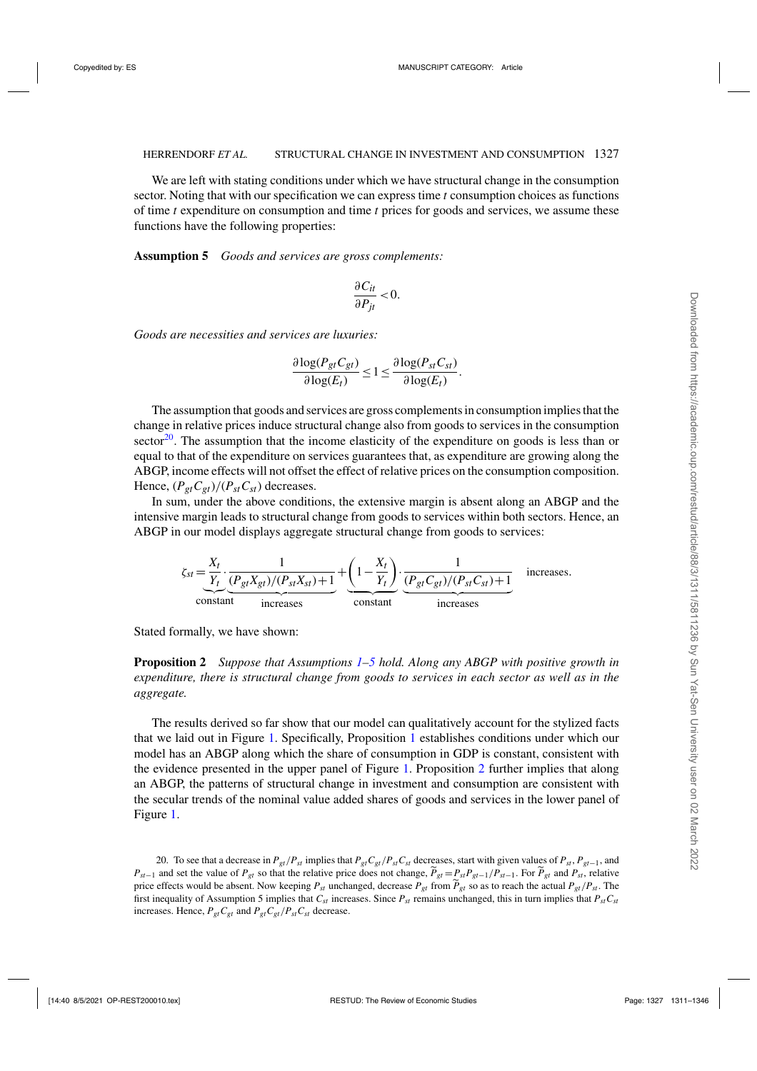<span id="page-16-0"></span>We are left with stating conditions under which we have structural change in the consumption sector. Noting that with our specification we can express time *t* consumption choices as functions of time *t* expenditure on consumption and time *t* prices for goods and services, we assume these functions have the following properties:

**Assumption 5** *Goods and services are gross complements:*

$$
\frac{\partial C_{it}}{\partial P_{jt}} < 0.
$$

*Goods are necessities and services are luxuries:*

$$
\frac{\partial \log(P_{gt}C_{gt})}{\partial \log(E_t)} \leq 1 \leq \frac{\partial \log(P_{st}C_{st})}{\partial \log(E_t)}.
$$

The assumption that goods and services are gross complements in consumption implies that the change in relative prices induce structural change also from goods to services in the consumption sector<sup>20</sup>. The assumption that the income elasticity of the expenditure on goods is less than or equal to that of the expenditure on services guarantees that, as expenditure are growing along the ABGP, income effects will not offset the effect of relative prices on the consumption composition. Hence,  $(P_{gt}C_{gt})/(P_{st}C_{st})$  decreases.

In sum, under the above conditions, the extensive margin is absent along an ABGP and the intensive margin leads to structural change from goods to services within both sectors. Hence, an ABGP in our model displays aggregate structural change from goods to services:

$$
\zeta_{st} = \underbrace{\frac{X_t}{Y_t} \cdot \underbrace{\frac{1}{(P_{gt}X_{gt})/(P_{st}X_{st})+1}}_{\text{increases}} + \underbrace{\left(1 - \frac{X_t}{Y_t}\right)}_{\text{constant}} \cdot \underbrace{\frac{1}{(P_{gt}C_{gt})/(P_{st}C_{st})+1}}_{\text{increases}} \quad \text{increases.}
$$

Stated formally, we have shown:

**Proposition 2** *Suppose that Assumptions [1–](#page-14-0)5 hold. Along any ABGP with positive growth in expenditure, there is structural change from goods to services in each sector as well as in the aggregate.*

The results derived so far show that our model can qualitatively account for the stylized facts that we laid out in Figure [1.](#page-5-0) Specifically, Proposition [1](#page-15-0) establishes conditions under which our model has an ABGP along which the share of consumption in GDP is constant, consistent with the evidence presented in the upper panel of Figure [1.](#page-5-0) Proposition 2 further implies that along an ABGP, the patterns of structural change in investment and consumption are consistent with the secular trends of the nominal value added shares of goods and services in the lower panel of Figure [1.](#page-5-0)

20. To see that a decrease in  $P_{gt}/P_{st}$  implies that  $P_{gt}C_{gt}/P_{st}C_{st}$  decreases, start with given values of  $P_{st}$ ,  $P_{gt-1}$ , and  $P_{st-1}$  and set the value of  $P_{gt}$  so that the relative price does not change,  $\tilde{P}_{gt} = P_{st}P_{gt-1}/P_{st-1}$ . For  $\tilde{P}_{gt}$  and  $P_{st}$ , relative price effects would be absent. Now keeping  $P_{st}$  unchanged, decrease  $P_{gt}$  from  $\tilde{P}_{gt}$  so as to reach the actual  $P_{gt}/P_{st}$ . The first inequality of Assumption 5 implies that  $C_{st}$  increases. Since  $P_{st}$  remains unchanged, this in turn implies that  $P_{st}C_{st}$ increases. Hence,  $P_{gt}C_{gt}$  and  $P_{gt}C_{gt}/P_{st}C_{st}$  decrease.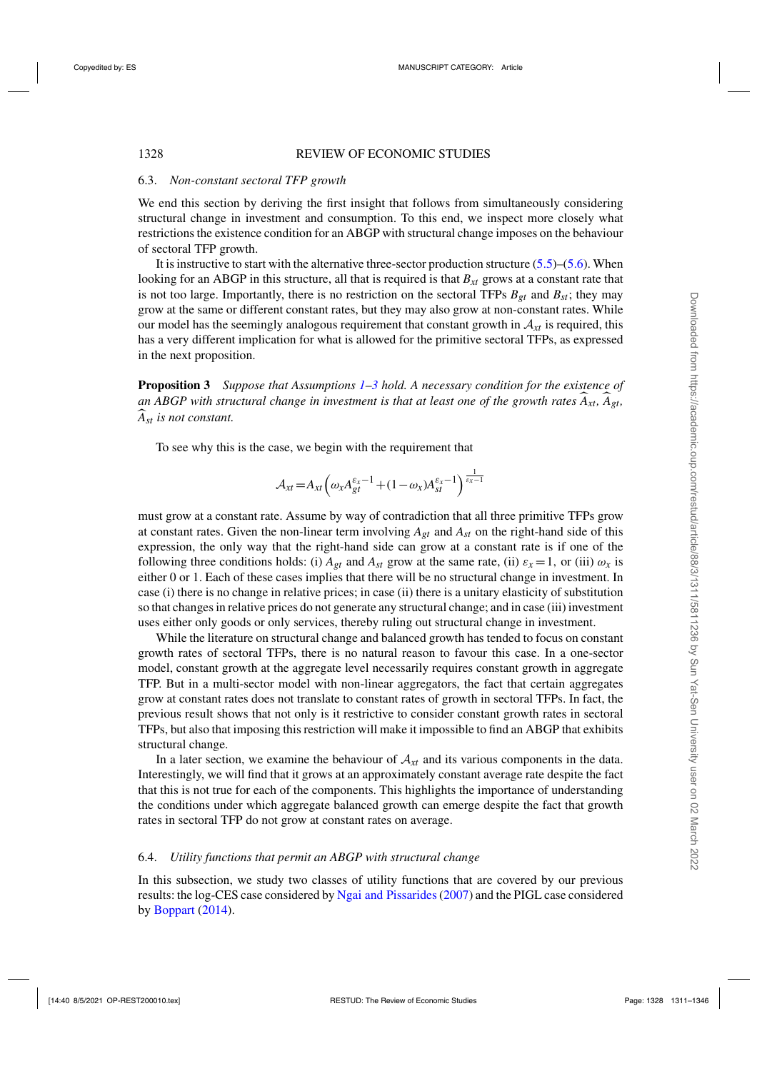#### 6.3. *Non-constant sectoral TFP growth*

We end this section by deriving the first insight that follows from simultaneously considering structural change in investment and consumption. To this end, we inspect more closely what restrictions the existence condition for an ABGP with structural change imposes on the behaviour of sectoral TFP growth.

It is instructive to start with the alternative three-sector production structure  $(5.5)$ – $(5.6)$ . When looking for an ABGP in this structure, all that is required is that  $B_{xt}$  grows at a constant rate that is not too large. Importantly, there is no restriction on the sectoral TFPs  $B_{gt}$  and  $B_{st}$ ; they may grow at the same or different constant rates, but they may also grow at non-constant rates. While our model has the seemingly analogous requirement that constant growth in  $A_{xt}$  is required, this has a very different implication for what is allowed for the primitive sectoral TFPs, as expressed in the next proposition.

**Proposition 3** *Suppose that Assumptions [1–3](#page-14-0) hold. A necessary condition for the existence of* an ABGP with structural change in investment is that at least one of the growth rates  $A_{xt}$ ,  $A_{gt}$ , *Ast is not constant.*

To see why this is the case, we begin with the requirement that

$$
\mathcal{A}_{xt} = A_{xt} \left( \omega_x A_{gt}^{\varepsilon_x - 1} + (1 - \omega_x) A_{st}^{\varepsilon_x - 1} \right) \frac{1}{\varepsilon_x - 1}
$$

must grow at a constant rate. Assume by way of contradiction that all three primitive TFPs grow at constant rates. Given the non-linear term involving  $A_{gt}$  and  $A_{st}$  on the right-hand side of this expression, the only way that the right-hand side can grow at a constant rate is if one of the following three conditions holds: (i)  $A_{gt}$  and  $A_{st}$  grow at the same rate, (ii)  $\varepsilon_x = 1$ , or (iii)  $\omega_x$  is either 0 or 1. Each of these cases implies that there will be no structural change in investment. In case (i) there is no change in relative prices; in case (ii) there is a unitary elasticity of substitution so that changes in relative prices do not generate any structural change; and in case (iii) investment uses either only goods or only services, thereby ruling out structural change in investment.

While the literature on structural change and balanced growth has tended to focus on constant growth rates of sectoral TFPs, there is no natural reason to favour this case. In a one-sector model, constant growth at the aggregate level necessarily requires constant growth in aggregate TFP. But in a multi-sector model with non-linear aggregators, the fact that certain aggregates grow at constant rates does not translate to constant rates of growth in sectoral TFPs. In fact, the previous result shows that not only is it restrictive to consider constant growth rates in sectoral TFPs, but also that imposing this restriction will make it impossible to find an ABGP that exhibits structural change.

In a later section, we examine the behaviour of  $A<sub>xt</sub>$  and its various components in the data. Interestingly, we will find that it grows at an approximately constant average rate despite the fact that this is not true for each of the components. This highlights the importance of understanding the conditions under which aggregate balanced growth can emerge despite the fact that growth rates in sectoral TFP do not grow at constant rates on average.

#### 6.4. *Utility functions that permit an ABGP with structural change*

In this subsection, we study two classes of utility functions that are covered by our previous results: the log-CES case considered by [Ngai and Pissarides\(2007\)](#page-35-0) and the PIGL case considered by [Boppart](#page-35-0)  $(2014)$  $(2014)$ .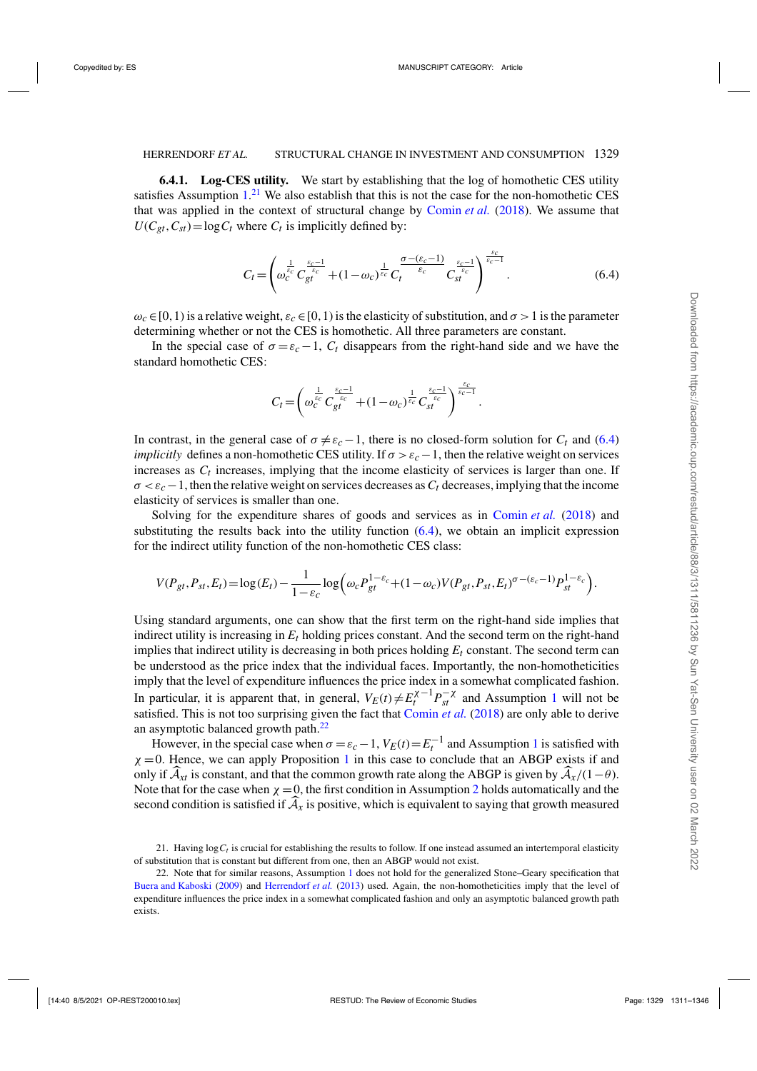**6.4.1. Log-CES utility.** We start by establishing that the log of homothetic CES utility satisfies Assumption  $1<sup>21</sup>$  We also establish that this is not the case for the non-homothetic CES that was applied in the context of structural change by [Comin](#page-35-0) *et al.* [\(2018\)](#page-35-0). We assume that  $U(C_{gt}, C_{st}) = \log C_t$  where  $C_t$  is implicitly defined by:

$$
C_t = \left(\omega_c^{\frac{1}{\varepsilon_c}} C_{gt}^{\frac{\varepsilon_c - 1}{\varepsilon_c}} + (1 - \omega_c)^{\frac{1}{\varepsilon_c}} C_t^{\frac{\sigma - (\varepsilon_c - 1)}{\varepsilon_c}} C_{st}^{\frac{\varepsilon_c - 1}{\varepsilon_c}}\right)^{\frac{\varepsilon_c}{\varepsilon_c - 1}}.
$$
(6.4)

 $\omega_c \in [0,1)$  is a relative weight,  $\varepsilon_c \in [0,1)$  is the elasticity of substitution, and  $\sigma > 1$  is the parameter determining whether or not the CES is homothetic. All three parameters are constant.

In the special case of  $\sigma = \varepsilon_c - 1$ ,  $C_t$  disappears from the right-hand side and we have the standard homothetic CES:

$$
C_t\!=\!\left(\omega_c^{\frac{1}{\varepsilon_c}}C_{gt}^{\frac{\varepsilon_c-1}{\varepsilon_c}}\!+\!(1\!-\!\omega_c)^{\frac{1}{\varepsilon_c}}C_{st}^{\frac{\varepsilon_c-1}{\varepsilon_c}}\right)^{\frac{\varepsilon_c}{\varepsilon_c-1}}.
$$

In contrast, in the general case of  $\sigma \neq \varepsilon_c - 1$ , there is no closed-form solution for  $C_t$  and (6.4) *implicitly* defines a non-homothetic CES utility. If  $\sigma > \varepsilon_c - 1$ , then the relative weight on services increases as  $C_t$  increases, implying that the income elasticity of services is larger than one. If  $\sigma < \varepsilon_c - 1$ , then the relative weight on services decreases as  $C_t$  decreases, implying that the income elasticity of services is smaller than one.

Solving for the expenditure shares of goods and services as in [Comin](#page-35-0) *et al.* [\(2018\)](#page-35-0) and substituting the results back into the utility function  $(6.4)$ , we obtain an implicit expression for the indirect utility function of the non-homothetic CES class:

$$
V(P_{gt}, P_{st}, E_t) = \log(E_t) - \frac{1}{1 - \varepsilon_c} \log \left( \omega_c P_{gt}^{1 - \varepsilon_c} + (1 - \omega_c) V(P_{gt}, P_{st}, E_t)^{\sigma - (\varepsilon_c - 1)} P_{st}^{1 - \varepsilon_c} \right).
$$

Using standard arguments, one can show that the first term on the right-hand side implies that indirect utility is increasing in  $E_t$  holding prices constant. And the second term on the right-hand implies that indirect utility is decreasing in both prices holding  $E_t$  constant. The second term can be understood as the price index that the individual faces. Importantly, the non-homotheticities imply that the level of expenditure influences the price index in a somewhat complicated fashion. In particular, it is apparent that, in general,  $V_E(t) \neq E_t^{\chi-1} P_{st}^{-\chi}$  $V_E(t) \neq E_t^{\chi-1} P_{st}^{-\chi}$  $V_E(t) \neq E_t^{\chi-1} P_{st}^{-\chi}$  and Assumption 1 will not be satisfied. This is not too surprising given the fact that [Comin](#page-35-0) *et al.* [\(2018](#page-35-0)) are only able to derive an asymptotic balanced growth path.<sup>22</sup>

However, in the special case when  $\sigma = \varepsilon_c - 1$  $\sigma = \varepsilon_c - 1$ ,  $V_E(t) = E_t^{-1}$  and Assumption 1 is satisfied with  $\chi = 0$ . Hence, we can apply Proposition [1](#page-15-0) in this case to conclude that an ABGP exists if and only if  $\widehat{A}_{xt}$  is constant, and that the common growth rate along the ABGP is given by  $\widehat{A}_x/(1-\theta)$ . Note that for the case when  $\chi = 0$ , the first condition in Assumption [2](#page-14-0) holds automatically and the second condition is satisfied if  $A<sub>x</sub>$  is positive, which is equivalent to saying that growth measured

<sup>21.</sup> Having  $\log C_t$  is crucial for establishing the results to follow. If one instead assumed an intertemporal elasticity of substitution that is constant but different from one, then an ABGP would not exist.

<sup>22.</sup> Note that for similar reasons, Assumption [1](#page-14-0) does not hold for the generalized Stone–Geary specification that [Buera and Kaboski](#page-35-0) [\(2009](#page-35-0)) and [Herrendorf](#page-35-0) *et al.* [\(2013](#page-35-0)) used. Again, the non-homotheticities imply that the level of expenditure influences the price index in a somewhat complicated fashion and only an asymptotic balanced growth path exists.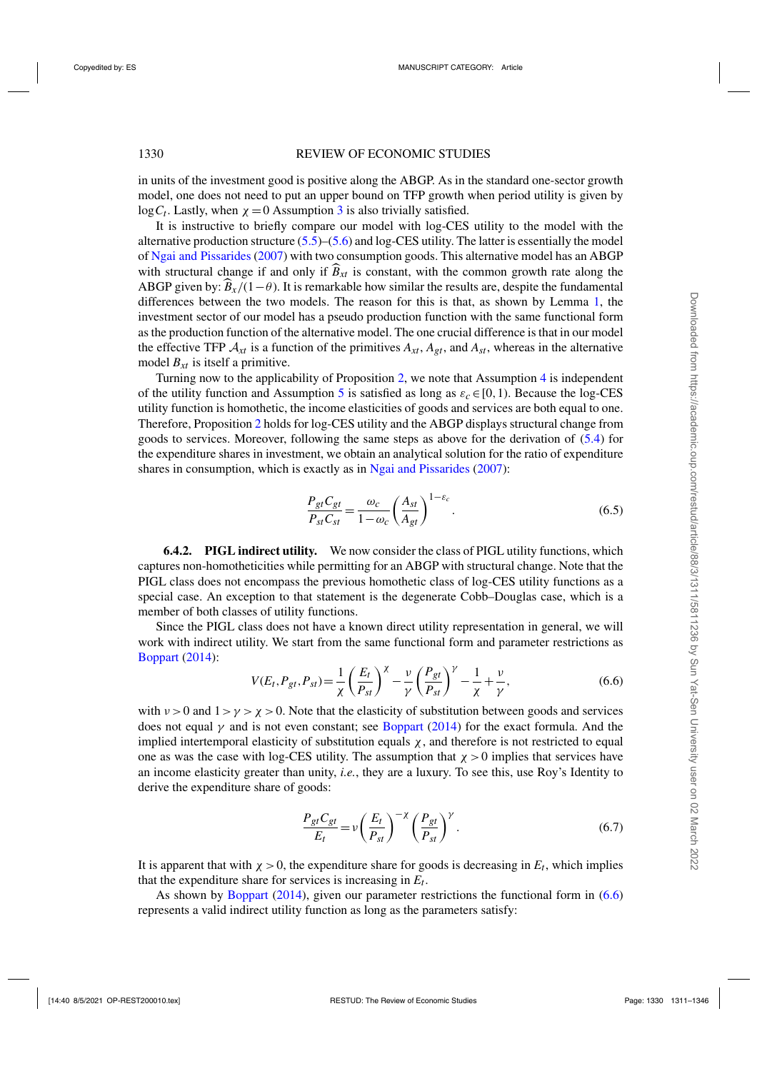<span id="page-19-0"></span>in units of the investment good is positive along the ABGP. As in the standard one-sector growth model, one does not need to put an upper bound on TFP growth when period utility is given by  $log C_t$ . Lastly, when  $\chi = 0$  Assumption [3](#page-14-0) is also trivially satisfied.

It is instructive to briefly compare our model with log-CES utility to the model with the alternative production structure  $(5.5)$ – $(5.6)$  and log-CES utility. The latter is essentially the model of [Ngai and Pissarides](#page-35-0) [\(2007\)](#page-35-0) with two consumption goods. This alternative model has an ABGP with structural change if and only if  $\hat{B}_{xt}$  is constant, with the common growth rate along the ABGP given by:  $\hat{B}_x/(1-\theta)$ . It is remarkable how similar the results are, despite the fundamental differences between the two models. The reason for this is that, as shown by Lemma [1,](#page-10-0) the investment sector of our model has a pseudo production function with the same functional form as the production function of the alternative model. The one crucial difference is that in our model the effective TFP  $A_{xt}$  is a function of the primitives  $A_{xt}$ ,  $A_{gt}$ , and  $A_{st}$ , whereas in the alternative model *Bxt* is itself a primitive.

Turning now to the applicability of Proposition [2,](#page-16-0) we note that Assumption [4](#page-15-0) is independent of the utility function and Assumption [5](#page-16-0) is satisfied as long as  $\varepsilon_c \in [0,1)$ . Because the log-CES utility function is homothetic, the income elasticities of goods and services are both equal to one. Therefore, Proposition [2](#page-16-0) holds for log-CES utility and the ABGP displays structural change from goods to services. Moreover, following the same steps as above for the derivation of [\(5.4\)](#page-9-0) for the expenditure shares in investment, we obtain an analytical solution for the ratio of expenditure shares in consumption, which is exactly as in [Ngai and Pissarides](#page-35-0) [\(2007](#page-35-0)):

$$
\frac{P_{gt}C_{gt}}{P_{st}C_{st}} = \frac{\omega_c}{1 - \omega_c} \left(\frac{A_{st}}{A_{gt}}\right)^{1 - \varepsilon_c}.
$$
\n(6.5)

**6.4.2. PIGL indirect utility.** We now consider the class of PIGL utility functions, which captures non-homotheticities while permitting for an ABGP with structural change. Note that the PIGL class does not encompass the previous homothetic class of log-CES utility functions as a special case. An exception to that statement is the degenerate Cobb–Douglas case, which is a member of both classes of utility functions.

Since the PIGL class does not have a known direct utility representation in general, we will work with indirect utility. We start from the same functional form and parameter restrictions as [Boppart](#page-35-0) [\(2014\)](#page-35-0):

$$
V(E_t, P_{gt}, P_{st}) = \frac{1}{\chi} \left(\frac{E_t}{P_{st}}\right)^{\chi} - \frac{\nu}{\gamma} \left(\frac{P_{gt}}{P_{st}}\right)^{\gamma} - \frac{1}{\chi} + \frac{\nu}{\gamma},\tag{6.6}
$$

with  $v > 0$  and  $1 > y > x > 0$ . Note that the elasticity of substitution between goods and services does not equal  $\gamma$  and is not even constant; see [Boppart](#page-35-0) [\(2014\)](#page-35-0) for the exact formula. And the implied intertemporal elasticity of substitution equals  $\chi$ , and therefore is not restricted to equal one as was the case with log-CES utility. The assumption that  $\chi > 0$  implies that services have an income elasticity greater than unity, *i.e.*, they are a luxury. To see this, use Roy's Identity to derive the expenditure share of goods:

$$
\frac{P_{gt}C_{gt}}{E_t} = \nu \left(\frac{E_t}{P_{st}}\right)^{-\chi} \left(\frac{P_{gt}}{P_{st}}\right)^{\gamma}.
$$
\n(6.7)

It is apparent that with  $\chi > 0$ , the expenditure share for goods is decreasing in  $E_t$ , which implies that the expenditure share for services is increasing in  $E_t$ .

As shown by [Boppart](#page-35-0) [\(2014\)](#page-35-0), given our parameter restrictions the functional form in (6.6) represents a valid indirect utility function as long as the parameters satisfy: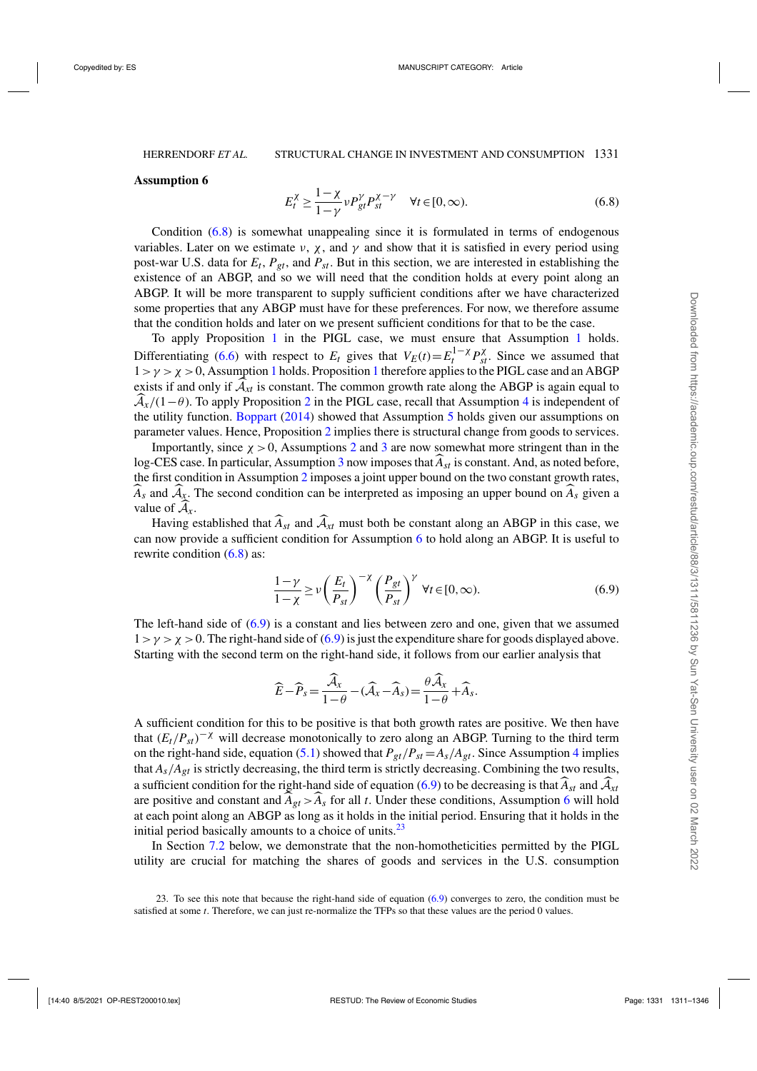#### **Assumption 6**

$$
E_t^{\chi} \ge \frac{1-\chi}{1-\gamma} \nu P_{gt}^{\gamma} P_{st}^{\chi-\gamma} \quad \forall t \in [0, \infty).
$$
 (6.8)

Condition (6.8) is somewhat unappealing since it is formulated in terms of endogenous variables. Later on we estimate  $\nu$ ,  $\chi$ , and  $\gamma$  and show that it is satisfied in every period using post-war U.S. data for  $E_t$ ,  $P_{gt}$ , and  $P_{st}$ . But in this section, we are interested in establishing the existence of an ABGP, and so we will need that the condition holds at every point along an ABGP. It will be more transparent to supply sufficient conditions after we have characterized some properties that any ABGP must have for these preferences. For now, we therefore assume that the condition holds and later on we present sufficient conditions for that to be the case.

To apply Proposition [1](#page-15-0) in the PIGL case, we must ensure that Assumption [1](#page-14-0) holds. Differentiating [\(6.6\)](#page-19-0) with respect to  $E_t$  gives that  $V_E(t) = E_t^{1-\chi} P_{st}^{\chi}$ . Since we assumed that  $1 > \gamma > \chi > 0$  $1 > \gamma > \chi > 0$ , Assumption 1 holds. Proposition 1 therefore applies to the PIGL case and an ABGP exists if and only if  $\mathcal{A}_{xt}$  is constant. The common growth rate along the ABGP is again equal to  $A_x/(1-\theta)$ . To apply Proposition [2](#page-16-0) in the PIGL case, recall that Assumption [4](#page-15-0) is independent of the utility function. [Boppart](#page-35-0) [\(2014\)](#page-35-0) showed that Assumption [5](#page-16-0) holds given our assumptions on parameter values. Hence, Proposition [2](#page-16-0) implies there is structural change from goods to services.

Importantly, since  $\chi > 0$ , Assumptions [2](#page-14-0) and [3](#page-14-0) are now somewhat more stringent than in the log-CES case. In particular, Assumption [3](#page-14-0) now imposes that*Ast* is constant. And, as noted before, the first condition in Assumption [2](#page-14-0) imposes a joint upper bound on the two constant growth rates,  $\widehat{A}_s$  and  $\widehat{A}_x$ . The second condition can be interpreted as imposing an upper bound on  $\widehat{A}_s$  given a value of  $A_x$ .

Having established that  $\widehat{A}_{st}$  and  $\widehat{A}_{xt}$  must both be constant along an ABGP in this case, we can now provide a sufficient condition for Assumption [6](#page-19-0) to hold along an ABGP. It is useful to rewrite condition (6.8) as:

$$
\frac{1-\gamma}{1-\chi} \ge \nu \left(\frac{E_t}{P_{st}}\right)^{-\chi} \left(\frac{P_{gt}}{P_{st}}\right)^{\gamma} \ \forall t \in [0, \infty). \tag{6.9}
$$

The left-hand side of (6.9) is a constant and lies between zero and one, given that we assumed  $1 > \gamma > \chi > 0$ . The right-hand side of (6.9) is just the expenditure share for goods displayed above. Starting with the second term on the right-hand side, it follows from our earlier analysis that

$$
\widehat{E} - \widehat{P}_s = \frac{\widehat{\mathcal{A}}_x}{1 - \theta} - (\widehat{\mathcal{A}}_x - \widehat{A}_s) = \frac{\theta \widehat{\mathcal{A}}_x}{1 - \theta} + \widehat{A}_s.
$$

A sufficient condition for this to be positive is that both growth rates are positive. We then have that  $(E_t/P_{st})^{-\chi}$  will decrease monotonically to zero along an ABGP. Turning to the third term on the right-hand side, equation [\(5.1\)](#page-9-0) showed that  $P_{gt}/P_{st} = A_s/A_{gt}$ . Since Assumption [4](#page-15-0) implies that  $A_s/A_{gt}$  is strictly decreasing, the third term is strictly decreasing. Combining the two results, a sufficient condition for the right-hand side of equation (6.9) to be decreasing is that  $\widehat{A}_{st}$  and  $\widehat{A}_{xt}$ are positive and constant and  $A_{gt} > A_s$  for all *t*. Under these conditions, Assumption [6](#page-19-0) will hold at each point along an ABGP as long as it holds in the initial period. Ensuring that it holds in the initial period basically amounts to a choice of units.<sup>23</sup>

In Section [7.2](#page-23-0) below, we demonstrate that the non-homotheticities permitted by the PIGL utility are crucial for matching the shares of goods and services in the U.S. consumption

23. To see this note that because the right-hand side of equation (6.9) converges to zero, the condition must be satisfied at some *t*. Therefore, we can just re-normalize the TFPs so that these values are the period 0 values.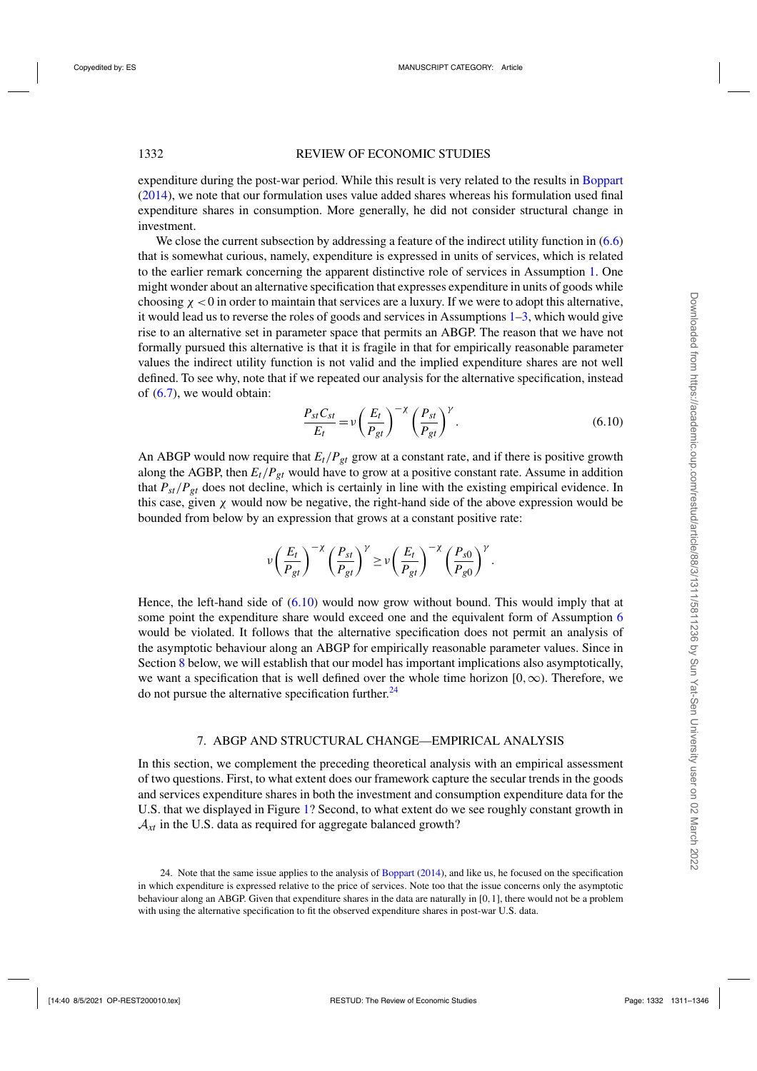<span id="page-21-0"></span>expenditure during the post-war period. While this result is very related to the results in [Boppart](#page-35-0) [\(2014](#page-35-0)), we note that our formulation uses value added shares whereas his formulation used final expenditure shares in consumption. More generally, he did not consider structural change in investment.

We close the current subsection by addressing a feature of the indirect utility function in  $(6.6)$ that is somewhat curious, namely, expenditure is expressed in units of services, which is related to the earlier remark concerning the apparent distinctive role of services in Assumption [1.](#page-14-0) One might wonder about an alternative specification that expresses expenditure in units of goods while choosing  $\chi$  < 0 in order to maintain that services are a luxury. If we were to adopt this alternative, it would lead us to reverse the roles of goods and services in Assumptions  $1-3$ , which would give rise to an alternative set in parameter space that permits an ABGP. The reason that we have not formally pursued this alternative is that it is fragile in that for empirically reasonable parameter values the indirect utility function is not valid and the implied expenditure shares are not well defined. To see why, note that if we repeated our analysis for the alternative specification, instead of [\(6.7\)](#page-19-0), we would obtain:

$$
\frac{P_{st}C_{st}}{E_t} = \nu \left(\frac{E_t}{P_{gt}}\right)^{-\chi} \left(\frac{P_{st}}{P_{gt}}\right)^{\gamma}.
$$
\n(6.10)

An ABGP would now require that  $E_t/P_{gt}$  grow at a constant rate, and if there is positive growth along the AGBP, then  $E_t/P_{gt}$  would have to grow at a positive constant rate. Assume in addition that *Pst*/*Pgt* does not decline, which is certainly in line with the existing empirical evidence. In this case, given  $\chi$  would now be negative, the right-hand side of the above expression would be bounded from below by an expression that grows at a constant positive rate:

$$
\nu \left(\frac{E_t}{P_{gt}}\right)^{-\chi} \left(\frac{P_{st}}{P_{gt}}\right)^{\gamma} \geq \nu \left(\frac{E_t}{P_{gt}}\right)^{-\chi} \left(\frac{P_{s0}}{P_{g0}}\right)^{\gamma}.
$$

Hence, the left-hand side of (6.10) would now grow without bound. This would imply that at some point the expenditure share would exceed one and the equivalent form of Assumption [6](#page-19-0) would be violated. It follows that the alternative specification does not permit an analysis of the asymptotic behaviour along an ABGP for empirically reasonable parameter values. Since in Section [8](#page-28-0) below, we will establish that our model has important implications also asymptotically, we want a specification that is well defined over the whole time horizon  $[0, \infty)$ . Therefore, we do not pursue the alternative specification further. $24$ 

#### 7. ABGP AND STRUCTURAL CHANGE—EMPIRICAL ANALYSIS

In this section, we complement the preceding theoretical analysis with an empirical assessment of two questions. First, to what extent does our framework capture the secular trends in the goods and services expenditure shares in both the investment and consumption expenditure data for the U.S. that we displayed in Figure [1?](#page-5-0) Second, to what extent do we see roughly constant growth in  $A_{xt}$  in the U.S. data as required for aggregate balanced growth?

<sup>24.</sup> Note that the same issue applies to the analysis of [Boppart](#page-35-0) [\(2014\)](#page-35-0), and like us, he focused on the specification in which expenditure is expressed relative to the price of services. Note too that the issue concerns only the asymptotic behaviour along an ABGP. Given that expenditure shares in the data are naturally in [0,1], there would not be a problem with using the alternative specification to fit the observed expenditure shares in post-war U.S. data.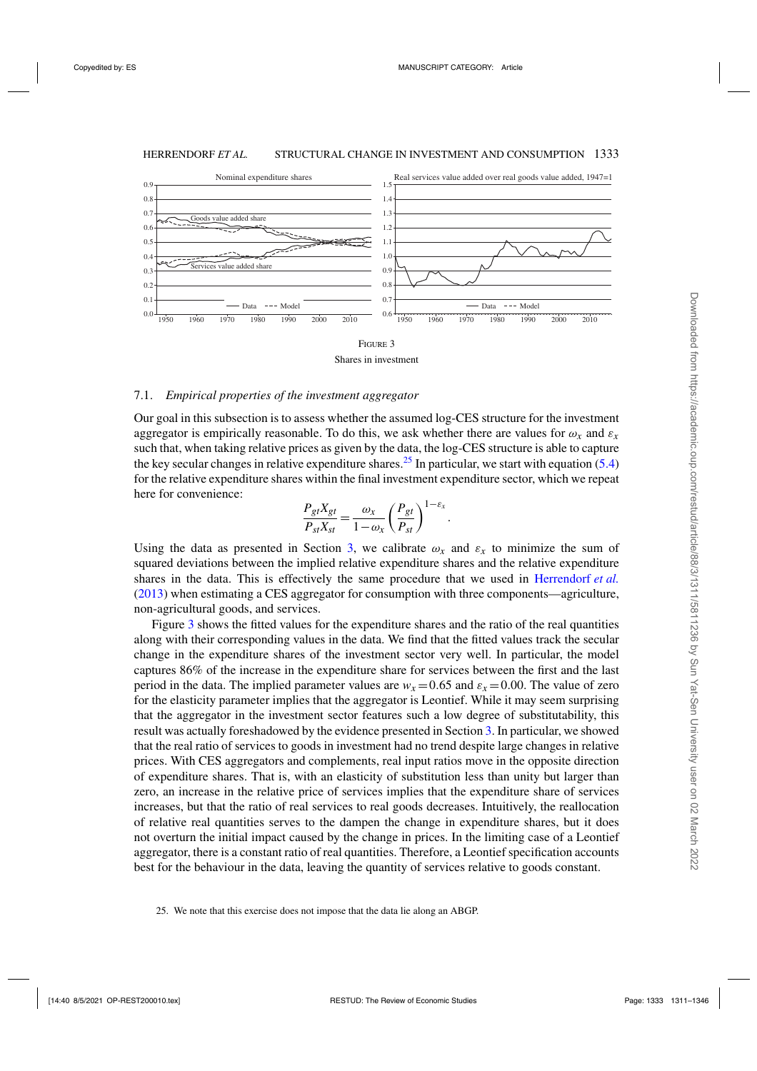

Shares in investment

#### 7.1. *Empirical properties of the investment aggregator*

Our goal in this subsection is to assess whether the assumed log-CES structure for the investment aggregator is empirically reasonable. To do this, we ask whether there are values for  $\omega_x$  and  $\varepsilon_x$ such that, when taking relative prices as given by the data, the log-CES structure is able to capture the key secular changes in relative expenditure shares.<sup>25</sup> In particular, we start with equation [\(5.4\)](#page-9-0) for the relative expenditure shares within the final investment expenditure sector, which we repeat here for convenience:

$$
\frac{P_{gt}X_{gt}}{P_{st}X_{st}} = \frac{\omega_x}{1-\omega_x} \left(\frac{P_{gt}}{P_{st}}\right)^{1-\varepsilon_x}.
$$

Using the data as presented in Section [3,](#page-4-0) we calibrate  $\omega_x$  and  $\varepsilon_x$  to minimize the sum of squared deviations between the implied relative expenditure shares and the relative expenditure shares in the data. This is effectively the same procedure that we used in [Herrendorf](#page-35-0) *et al.* [\(2013\)](#page-35-0) when estimating a CES aggregator for consumption with three components—agriculture, non-agricultural goods, and services.

Figure 3 shows the fitted values for the expenditure shares and the ratio of the real quantities along with their corresponding values in the data. We find that the fitted values track the secular change in the expenditure shares of the investment sector very well. In particular, the model captures 86% of the increase in the expenditure share for services between the first and the last period in the data. The implied parameter values are  $w_x = 0.65$  and  $\varepsilon_x = 0.00$ . The value of zero for the elasticity parameter implies that the aggregator is Leontief. While it may seem surprising that the aggregator in the investment sector features such a low degree of substitutability, this result was actually foreshadowed by the evidence presented in Section [3.](#page-4-0) In particular, we showed that the real ratio of services to goods in investment had no trend despite large changes in relative prices. With CES aggregators and complements, real input ratios move in the opposite direction of expenditure shares. That is, with an elasticity of substitution less than unity but larger than zero, an increase in the relative price of services implies that the expenditure share of services increases, but that the ratio of real services to real goods decreases. Intuitively, the reallocation of relative real quantities serves to the dampen the change in expenditure shares, but it does not overturn the initial impact caused by the change in prices. In the limiting case of a Leontief aggregator, there is a constant ratio of real quantities. Therefore, a Leontief specification accounts best for the behaviour in the data, leaving the quantity of services relative to goods constant.

<sup>25.</sup> We note that this exercise does not impose that the data lie along an ABGP.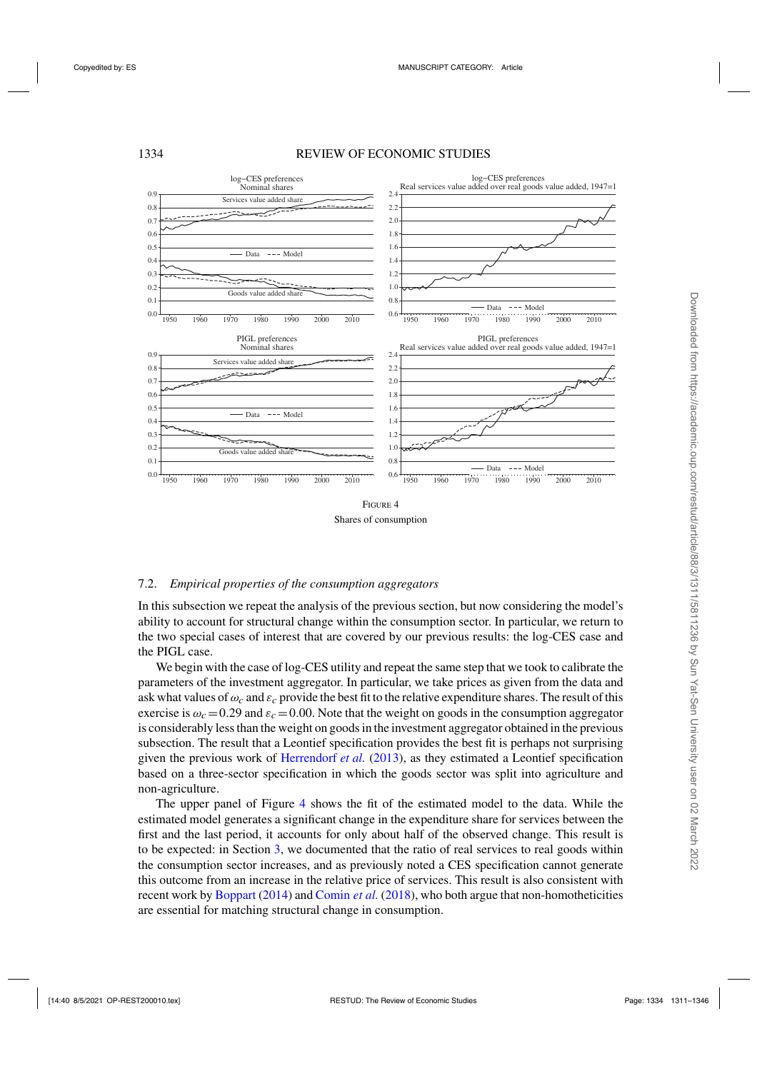<span id="page-23-0"></span>

#### 7.2. *Empirical properties of the consumption aggregators*

In this subsection we repeat the analysis of the previous section, but now considering the model's ability to account for structural change within the consumption sector. In particular, we return to the two special cases of interest that are covered by our previous results: the log-CES case and the PIGL case.

We begin with the case of log-CES utility and repeat the same step that we took to calibrate the parameters of the investment aggregator. In particular, we take prices as given from the data and ask what values of  $\omega_c$  and  $\varepsilon_c$  provide the best fit to the relative expenditure shares. The result of this exercise is  $\omega_c = 0.29$  and  $\varepsilon_c = 0.00$ . Note that the weight on goods in the consumption aggregator is considerably less than the weight on goods in the investment aggregator obtained in the previous subsection. The result that a Leontief specification provides the best fit is perhaps not surprising given the previous work of [Herrendorf](#page-35-0) *et al.* [\(2013\)](#page-35-0), as they estimated a Leontief specification based on a three-sector specification in which the goods sector was split into agriculture and non-agriculture.

The upper panel of Figure 4 shows the fit of the estimated model to the data. While the estimated model generates a significant change in the expenditure share for services between the first and the last period, it accounts for only about half of the observed change. This result is to be expected: in Section [3,](#page-4-0) we documented that the ratio of real services to real goods within the consumption sector increases, and as previously noted a CES specification cannot generate this outcome from an increase in the relative price of services. This result is also consistent with recent work by [Boppart](#page-35-0) [\(2014\)](#page-35-0) and [Comin](#page-35-0) *et al.* [\(2018](#page-35-0)), who both argue that non-homotheticities are essential for matching structural change in consumption.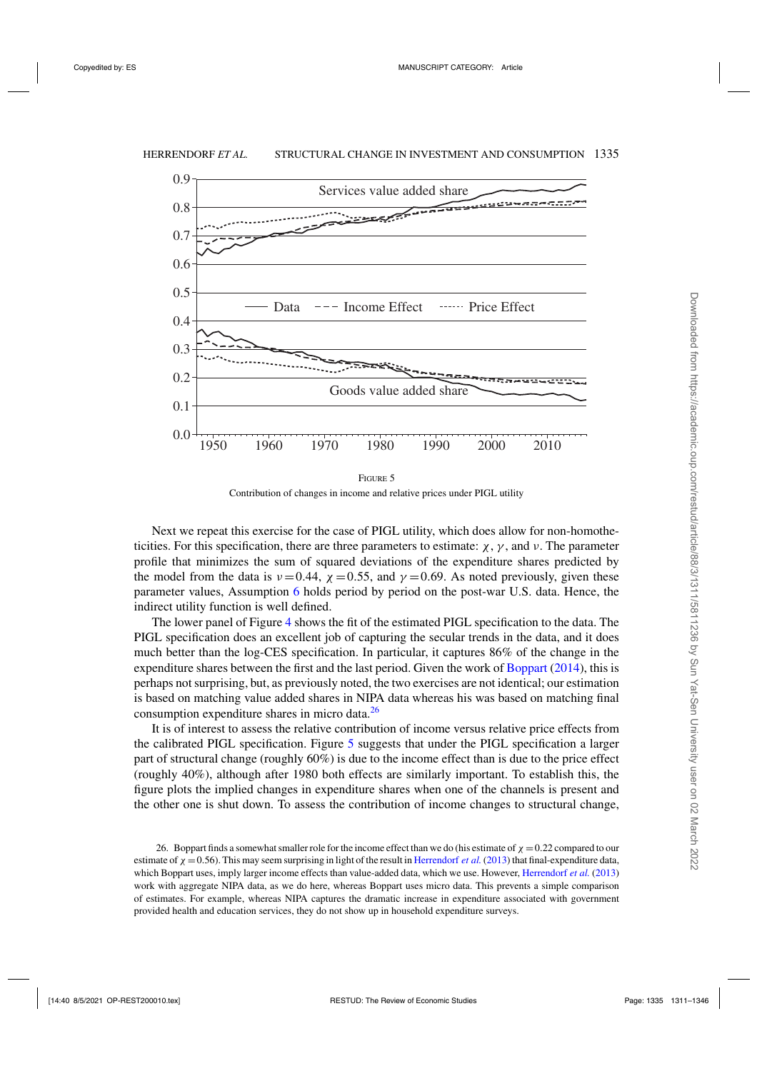

Contribution of changes in income and relative prices under PIGL utility

Next we repeat this exercise for the case of PIGL utility, which does allow for non-homotheticities. For this specification, there are three parameters to estimate:  $\chi$ ,  $\gamma$ , and  $\nu$ . The parameter profile that minimizes the sum of squared deviations of the expenditure shares predicted by the model from the data is  $v = 0.44$ ,  $\chi = 0.55$ , and  $\gamma = 0.69$ . As noted previously, given these parameter values, Assumption [6](#page-19-0) holds period by period on the post-war U.S. data. Hence, the indirect utility function is well defined.

The lower panel of Figure [4](#page-23-0) shows the fit of the estimated PIGL specification to the data. The PIGL specification does an excellent job of capturing the secular trends in the data, and it does much better than the log-CES specification. In particular, it captures 86% of the change in the expenditure shares between the first and the last period. Given the work of [Boppart](#page-35-0) [\(2014\)](#page-35-0), this is perhaps not surprising, but, as previously noted, the two exercises are not identical; our estimation is based on matching value added shares in NIPA data whereas his was based on matching final consumption expenditure shares in micro data.<sup>26</sup>

It is of interest to assess the relative contribution of income versus relative price effects from the calibrated PIGL specification. Figure 5 suggests that under the PIGL specification a larger part of structural change (roughly 60%) is due to the income effect than is due to the price effect (roughly 40%), although after 1980 both effects are similarly important. To establish this, the figure plots the implied changes in expenditure shares when one of the channels is present and the other one is shut down. To assess the contribution of income changes to structural change,

<sup>26.</sup> Boppart finds a somewhat smaller role for the income effect than we do (his estimate of  $\chi = 0.22$  compared to our estimate of  $\chi = 0.56$ ). This may seem surprising in light of the result in [Herrendorf](#page-35-0) *et al.* [\(2013\)](#page-35-0) that final-expenditure data, which Boppart uses, imply larger income effects than value-added data, which we use. However, [Herrendorf](#page-35-0) *et al.* [\(2013](#page-35-0)) work with aggregate NIPA data, as we do here, whereas Boppart uses micro data. This prevents a simple comparison of estimates. For example, whereas NIPA captures the dramatic increase in expenditure associated with government provided health and education services, they do not show up in household expenditure surveys.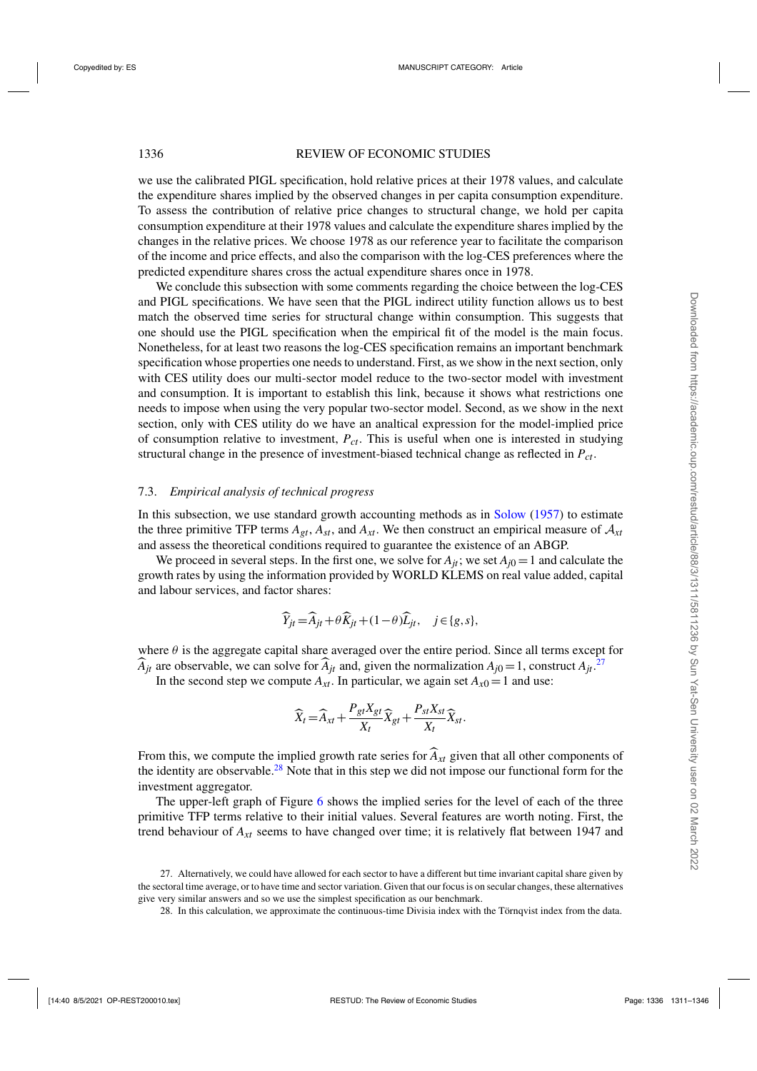we use the calibrated PIGL specification, hold relative prices at their 1978 values, and calculate the expenditure shares implied by the observed changes in per capita consumption expenditure. To assess the contribution of relative price changes to structural change, we hold per capita consumption expenditure at their 1978 values and calculate the expenditure shares implied by the changes in the relative prices. We choose 1978 as our reference year to facilitate the comparison of the income and price effects, and also the comparison with the log-CES preferences where the predicted expenditure shares cross the actual expenditure shares once in 1978.

We conclude this subsection with some comments regarding the choice between the log-CES and PIGL specifications. We have seen that the PIGL indirect utility function allows us to best match the observed time series for structural change within consumption. This suggests that one should use the PIGL specification when the empirical fit of the model is the main focus. Nonetheless, for at least two reasons the log-CES specification remains an important benchmark specification whose properties one needs to understand. First, as we show in the next section, only with CES utility does our multi-sector model reduce to the two-sector model with investment and consumption. It is important to establish this link, because it shows what restrictions one needs to impose when using the very popular two-sector model. Second, as we show in the next section, only with CES utility do we have an analtical expression for the model-implied price of consumption relative to investment, *Pct*. This is useful when one is interested in studying structural change in the presence of investment-biased technical change as reflected in *Pct*.

#### 7.3. *Empirical analysis of technical progress*

In this subsection, we use standard growth accounting methods as in [Solow](#page-35-0) [\(1957](#page-35-0)) to estimate the three primitive TFP terms  $A_{gt}$ ,  $A_{st}$ , and  $A_{xt}$ . We then construct an empirical measure of  $A_{xt}$ and assess the theoretical conditions required to guarantee the existence of an ABGP.

We proceed in several steps. In the first one, we solve for  $A_{it}$ ; we set  $A_{i0} = 1$  and calculate the growth rates by using the information provided by WORLD KLEMS on real value added, capital and labour services, and factor shares:

$$
\widehat{Y}_{jt} = \widehat{A}_{jt} + \theta \widehat{K}_{jt} + (1 - \theta) \widehat{L}_{jt}, \quad j \in \{g, s\},\
$$

where  $\theta$  is the aggregate capital share averaged over the entire period. Since all terms except for  $\widehat{A}_{jt}$  are observable, we can solve for  $\widehat{A}_{jt}$  and, given the normalization  $A_{j0} = 1$ , construct  $A_{jt}$ .<sup>27</sup>

In the second step we compute  $A_{xt}$ . In particular, we again set  $A_{x0} = 1$  and use:

$$
\widehat{X}_t = \widehat{A}_{xt} + \frac{P_{gt}X_{gt}}{X_t}\widehat{X}_{gt} + \frac{P_{st}X_{st}}{X_t}\widehat{X}_{st}.
$$

From this, we compute the implied growth rate series for  $\widehat{A}_{xt}$  given that all other components of the identity are observable.<sup>28</sup> Note that in this step we did not impose our functional form for the investment aggregator.

The upper-left graph of Figure [6](#page-26-0) shows the implied series for the level of each of the three primitive TFP terms relative to their initial values. Several features are worth noting. First, the trend behaviour of  $A_{xt}$  seems to have changed over time; it is relatively flat between 1947 and

<sup>27.</sup> Alternatively, we could have allowed for each sector to have a different but time invariant capital share given by the sectoral time average, or to have time and sector variation. Given that our focus is on secular changes, these alternatives give very similar answers and so we use the simplest specification as our benchmark.

<sup>28.</sup> In this calculation, we approximate the continuous-time Divisia index with the Törnqvist index from the data.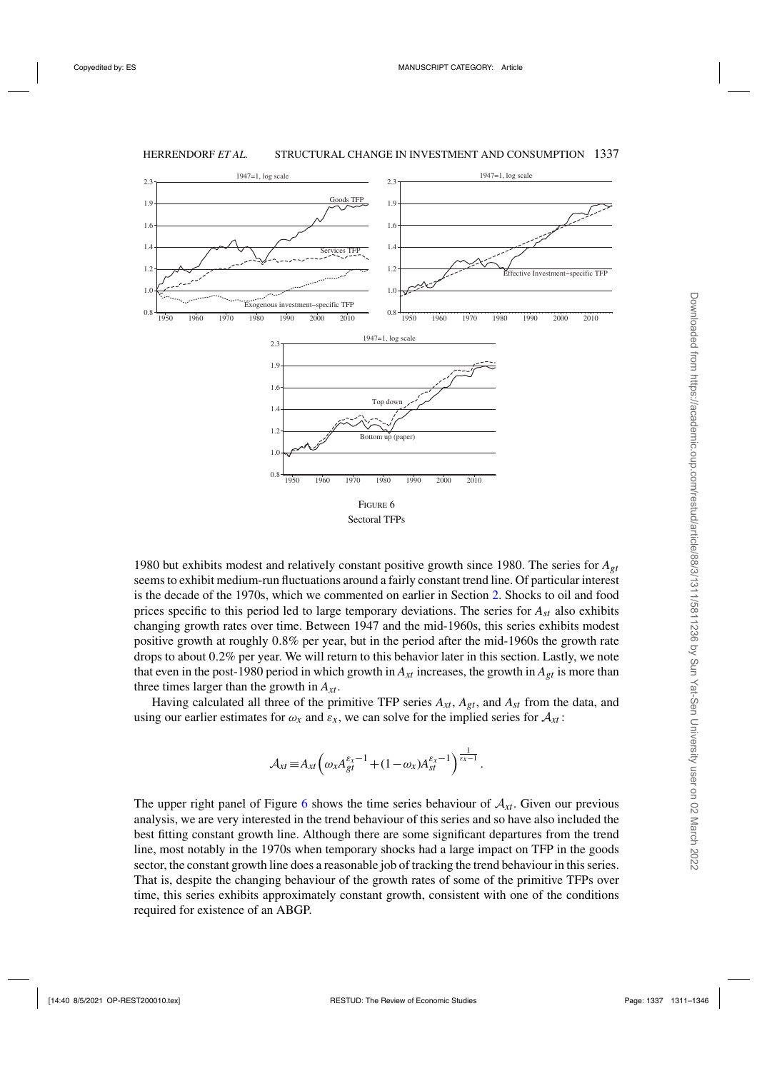<span id="page-26-0"></span>

1980 but exhibits modest and relatively constant positive growth since 1980. The series for *Agt* seems to exhibit medium-run fluctuations around a fairly constant trend line. Of particular interest is the decade of the 1970s, which we commented on earlier in Section [2.](#page-3-0) Shocks to oil and food prices specific to this period led to large temporary deviations. The series for *Ast* also exhibits changing growth rates over time. Between 1947 and the mid-1960s, this series exhibits modest positive growth at roughly 0.8% per year, but in the period after the mid-1960s the growth rate drops to about 0.2% per year. We will return to this behavior later in this section. Lastly, we note that even in the post-1980 period in which growth in  $A_{xt}$  increases, the growth in  $A_{gt}$  is more than three times larger than the growth in *Axt*.

Having calculated all three of the primitive TFP series  $A_{xt}$ ,  $A_{gt}$ , and  $A_{st}$  from the data, and using our earlier estimates for  $\omega_x$  and  $\varepsilon_x$ , we can solve for the implied series for  $\mathcal{A}_{xt}$ :

$$
\mathcal{A}_{xt} \equiv A_{xt} \left( \omega_x A_{gt}^{\varepsilon_x - 1} + (1 - \omega_x) A_{st}^{\varepsilon_x - 1} \right)^{\frac{1}{\varepsilon_x - 1}}.
$$

The upper right panel of Figure 6 shows the time series behaviour of  $A_{xt}$ . Given our previous analysis, we are very interested in the trend behaviour of this series and so have also included the best fitting constant growth line. Although there are some significant departures from the trend line, most notably in the 1970s when temporary shocks had a large impact on TFP in the goods sector, the constant growth line does a reasonable job of tracking the trend behaviour in this series. That is, despite the changing behaviour of the growth rates of some of the primitive TFPs over time, this series exhibits approximately constant growth, consistent with one of the conditions required for existence of an ABGP.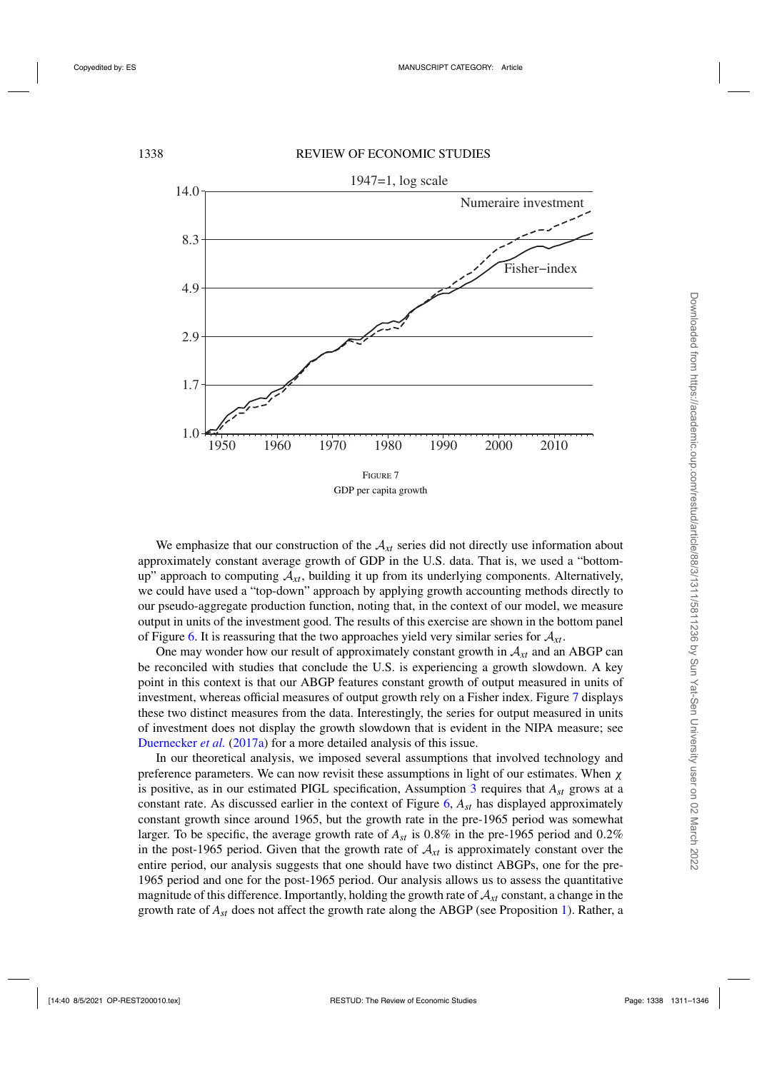<span id="page-27-0"></span>

We emphasize that our construction of the  $A_{xt}$  series did not directly use information about approximately constant average growth of GDP in the U.S. data. That is, we used a "bottomup" approach to computing  $A_{x}$ , building it up from its underlying components. Alternatively, we could have used a "top-down" approach by applying growth accounting methods directly to our pseudo-aggregate production function, noting that, in the context of our model, we measure output in units of the investment good. The results of this exercise are shown in the bottom panel of Figure [6.](#page-26-0) It is reassuring that the two approaches yield very similar series for A*xt*.

One may wonder how our result of approximately constant growth in  $A_{xt}$  and an ABGP can be reconciled with studies that conclude the U.S. is experiencing a growth slowdown. A key point in this context is that our ABGP features constant growth of output measured in units of investment, whereas official measures of output growth rely on a Fisher index. Figure 7 displays these two distinct measures from the data. Interestingly, the series for output measured in units of investment does not display the growth slowdown that is evident in the NIPA measure; see [Duernecker](#page-35-0) *et al.* [\(2017a\)](#page-35-0) for a more detailed analysis of this issue.

In our theoretical analysis, we imposed several assumptions that involved technology and preference parameters. We can now revisit these assumptions in light of our estimates. When  $\chi$ is positive, as in our estimated PIGL specification, Assumption [3](#page-14-0) requires that *Ast* grows at a constant rate. As discussed earlier in the context of Figure [6,](#page-26-0) *Ast* has displayed approximately constant growth since around 1965, but the growth rate in the pre-1965 period was somewhat larger. To be specific, the average growth rate of *Ast* is 0.8% in the pre-1965 period and 0.2% in the post-1965 period. Given that the growth rate of  $A_{xt}$  is approximately constant over the entire period, our analysis suggests that one should have two distinct ABGPs, one for the pre-1965 period and one for the post-1965 period. Our analysis allows us to assess the quantitative magnitude of this difference. Importantly, holding the growth rate of  $A_{xt}$  constant, a change in the growth rate of *Ast* does not affect the growth rate along the ABGP (see Proposition [1\)](#page-15-0). Rather, a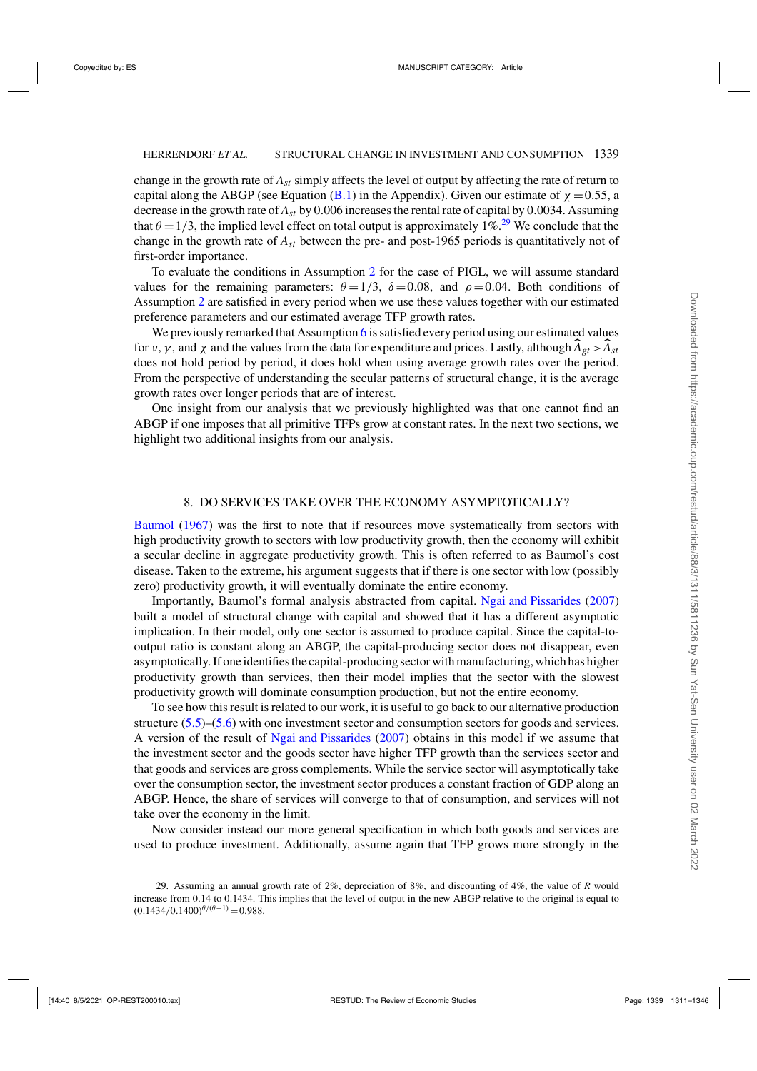<span id="page-28-0"></span>change in the growth rate of *Ast* simply affects the level of output by affecting the rate of return to capital along the ABGP (see Equation [\(B.1\)](#page-33-0) in the Appendix). Given our estimate of  $\chi = 0.55$ , a decrease in the growth rate of *Ast* by 0.006 increases the rental rate of capital by 0.0034. Assuming that  $\theta = 1/3$ , the implied level effect on total output is approximately 1%.<sup>29</sup> We conclude that the change in the growth rate of *Ast* between the pre- and post-1965 periods is quantitatively not of first-order importance.

To evaluate the conditions in Assumption [2](#page-14-0) for the case of PIGL, we will assume standard values for the remaining parameters:  $\theta = 1/3$ ,  $\delta = 0.08$ , and  $\rho = 0.04$ . Both conditions of Assumption [2](#page-14-0) are satisfied in every period when we use these values together with our estimated preference parameters and our estimated average TFP growth rates.

We previously remarked that Assumption [6](#page-19-0) is satisfied every period using our estimated values for  $v, \gamma$ , and  $\gamma$  and the values from the data for expenditure and prices. Lastly, although  $A_{gt} > A_{st}$ does not hold period by period, it does hold when using average growth rates over the period. From the perspective of understanding the secular patterns of structural change, it is the average growth rates over longer periods that are of interest.

One insight from our analysis that we previously highlighted was that one cannot find an ABGP if one imposes that all primitive TFPs grow at constant rates. In the next two sections, we highlight two additional insights from our analysis.

#### 8. DO SERVICES TAKE OVER THE ECONOMY ASYMPTOTICALLY?

[Baumol](#page-35-0) [\(1967](#page-35-0)) was the first to note that if resources move systematically from sectors with high productivity growth to sectors with low productivity growth, then the economy will exhibit a secular decline in aggregate productivity growth. This is often referred to as Baumol's cost disease. Taken to the extreme, his argument suggests that if there is one sector with low (possibly zero) productivity growth, it will eventually dominate the entire economy.

Importantly, Baumol's formal analysis abstracted from capital. [Ngai and Pissarides](#page-35-0) [\(2007\)](#page-35-0) built a model of structural change with capital and showed that it has a different asymptotic implication. In their model, only one sector is assumed to produce capital. Since the capital-tooutput ratio is constant along an ABGP, the capital-producing sector does not disappear, even asymptotically. If one identifies the capital-producing sector with manufacturing, which has higher productivity growth than services, then their model implies that the sector with the slowest productivity growth will dominate consumption production, but not the entire economy.

To see how this result is related to our work, it is useful to go back to our alternative production structure [\(5.5\)](#page-10-0)–[\(5.6\)](#page-10-0) with one investment sector and consumption sectors for goods and services. A version of the result of [Ngai and Pissarides](#page-35-0) [\(2007\)](#page-35-0) obtains in this model if we assume that the investment sector and the goods sector have higher TFP growth than the services sector and that goods and services are gross complements. While the service sector will asymptotically take over the consumption sector, the investment sector produces a constant fraction of GDP along an ABGP. Hence, the share of services will converge to that of consumption, and services will not take over the economy in the limit.

Now consider instead our more general specification in which both goods and services are used to produce investment. Additionally, assume again that TFP grows more strongly in the

<sup>29.</sup> Assuming an annual growth rate of 2%, depreciation of 8%, and discounting of 4%, the value of *R* would increase from 0.14 to 0.1434. This implies that the level of output in the new ABGP relative to the original is equal to  $(0.1434/0.1400)^{\theta/(\theta-1)} = 0.988.$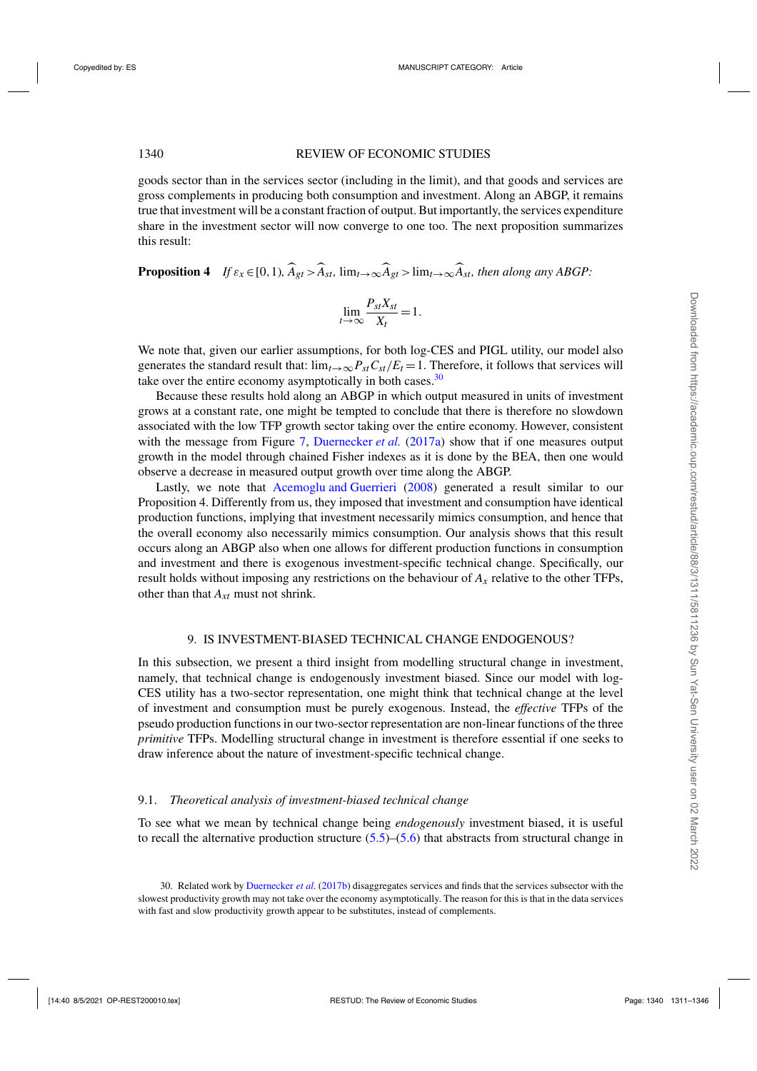<span id="page-29-0"></span>goods sector than in the services sector (including in the limit), and that goods and services are gross complements in producing both consumption and investment. Along an ABGP, it remains true that investment will be a constant fraction of output. But importantly, the services expenditure share in the investment sector will now converge to one too. The next proposition summarizes this result:

**Proposition 4** *If*  $\varepsilon_x \in [0,1)$ ,  $\widehat{A}_{gt} > \widehat{A}_{st}$ ,  $\lim_{t \to \infty} \widehat{A}_{gt} > \lim_{t \to \infty} \widehat{A}_{st}$ , then along any ABGP:

$$
\lim_{t \to \infty} \frac{P_{st} X_{st}}{X_t} = 1.
$$

We note that, given our earlier assumptions, for both log-CES and PIGL utility, our model also generates the standard result that:  $\lim_{t\to\infty} P_{st}C_{st}/E_t = 1$ . Therefore, it follows that services will take over the entire economy asymptotically in both cases. $30$ 

Because these results hold along an ABGP in which output measured in units of investment grows at a constant rate, one might be tempted to conclude that there is therefore no slowdown associated with the low TFP growth sector taking over the entire economy. However, consistent with the message from Figure [7,](#page-27-0) [Duernecker](#page-35-0) *et al.* [\(2017a\)](#page-35-0) show that if one measures output growth in the model through chained Fisher indexes as it is done by the BEA, then one would observe a decrease in measured output growth over time along the ABGP.

Lastly, we note that [Acemoglu and Guerrieri](#page-35-0) [\(2008\)](#page-35-0) generated a result similar to our Proposition 4. Differently from us, they imposed that investment and consumption have identical production functions, implying that investment necessarily mimics consumption, and hence that the overall economy also necessarily mimics consumption. Our analysis shows that this result occurs along an ABGP also when one allows for different production functions in consumption and investment and there is exogenous investment-specific technical change. Specifically, our result holds without imposing any restrictions on the behaviour of *Ax* relative to the other TFPs, other than that *Axt* must not shrink.

### 9. IS INVESTMENT-BIASED TECHNICAL CHANGE ENDOGENOUS?

In this subsection, we present a third insight from modelling structural change in investment, namely, that technical change is endogenously investment biased. Since our model with log-CES utility has a two-sector representation, one might think that technical change at the level of investment and consumption must be purely exogenous. Instead, the *effective* TFPs of the pseudo production functions in our two-sector representation are non-linear functions of the three *primitive* TFPs. Modelling structural change in investment is therefore essential if one seeks to draw inference about the nature of investment-specific technical change.

#### 9.1. *Theoretical analysis of investment-biased technical change*

To see what we mean by technical change being *endogenously* investment biased, it is useful to recall the alternative production structure  $(5.5)$ – $(5.6)$  that abstracts from structural change in

<sup>30.</sup> Related work by [Duernecker](#page-35-0) *et al.* [\(2017b](#page-35-0)) disaggregates services and finds that the services subsector with the slowest productivity growth may not take over the economy asymptotically. The reason for this is that in the data services with fast and slow productivity growth appear to be substitutes, instead of complements.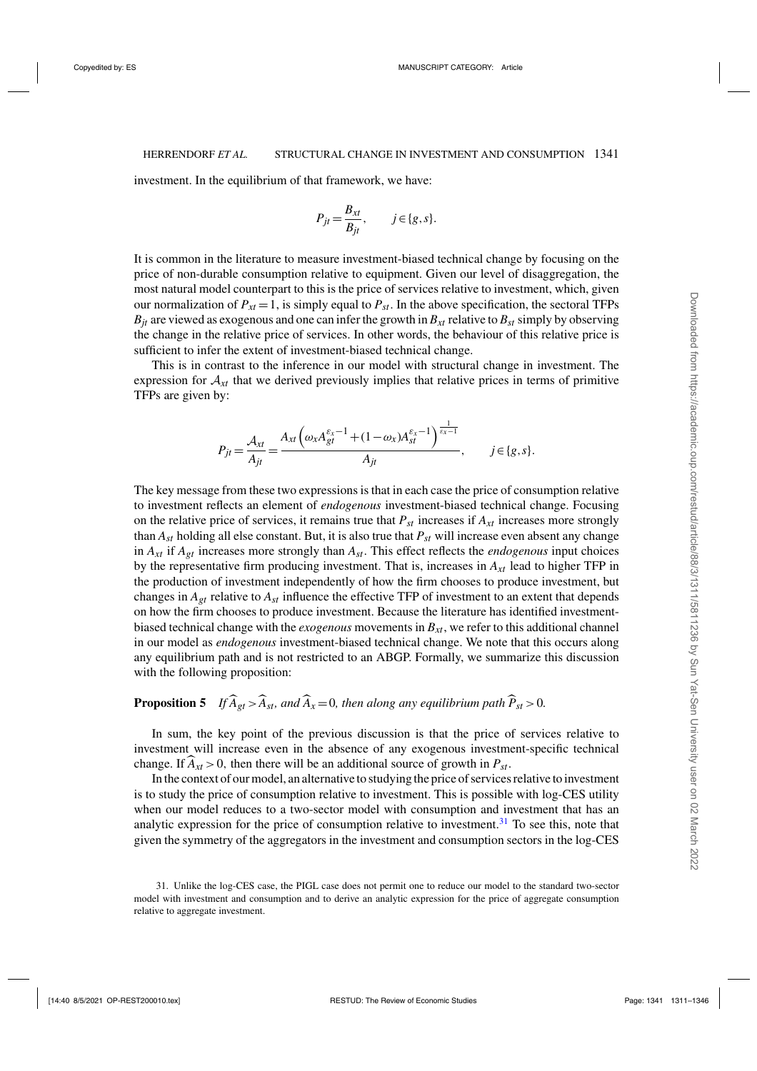investment. In the equilibrium of that framework, we have:

$$
P_{jt} = \frac{B_{xt}}{B_{jt}}, \qquad j \in \{g, s\}.
$$

It is common in the literature to measure investment-biased technical change by focusing on the price of non-durable consumption relative to equipment. Given our level of disaggregation, the most natural model counterpart to this is the price of services relative to investment, which, given our normalization of  $P_{xt} = 1$ , is simply equal to  $P_{st}$ . In the above specification, the sectoral TFPs  $B_{it}$  are viewed as exogenous and one can infer the growth in  $B_{xt}$  relative to  $B_{st}$  simply by observing the change in the relative price of services. In other words, the behaviour of this relative price is sufficient to infer the extent of investment-biased technical change.

This is in contrast to the inference in our model with structural change in investment. The expression for  $A_{xt}$  that we derived previously implies that relative prices in terms of primitive TFPs are given by:

$$
P_{jt} = \frac{A_{xt}}{A_{jt}} = \frac{A_{xt} \left( \omega_x A_{gt}^{\varepsilon_x - 1} + (1 - \omega_x) A_{st}^{\varepsilon_x - 1} \right)^{\frac{1}{\varepsilon_x - 1}}}{A_{jt}}, \qquad j \in \{g, s\}.
$$

The key message from these two expressions is that in each case the price of consumption relative to investment reflects an element of *endogenous* investment-biased technical change. Focusing on the relative price of services, it remains true that  $P_{st}$  increases if  $A_{xt}$  increases more strongly than *Ast* holding all else constant. But, it is also true that *Pst* will increase even absent any change in  $A_{xt}$  if  $A_{gt}$  increases more strongly than  $A_{st}$ . This effect reflects the *endogenous* input choices by the representative firm producing investment. That is, increases in  $A_{xt}$  lead to higher TFP in the production of investment independently of how the firm chooses to produce investment, but changes in  $A_{gt}$  relative to  $A_{gt}$  influence the effective TFP of investment to an extent that depends on how the firm chooses to produce investment. Because the literature has identified investmentbiased technical change with the *exogenous* movements in  $B_{xt}$ , we refer to this additional channel in our model as *endogenous* investment-biased technical change. We note that this occurs along any equilibrium path and is not restricted to an ABGP. Formally, we summarize this discussion with the following proposition:

# **Proposition 5** *If*  $\widehat{A}_{gt} > \widehat{A}_{st}$ *, and*  $\widehat{A}_x = 0$ *, then along any equilibrium path*  $\widehat{P}_{st} > 0$ *.*

In sum, the key point of the previous discussion is that the price of services relative to investment will increase even in the absence of any exogenous investment-specific technical change. If  $A_{xt} > 0$ , then there will be an additional source of growth in  $P_{st}$ .

In the context of our model, an alternative to studying the price of services relative to investment is to study the price of consumption relative to investment. This is possible with log-CES utility when our model reduces to a two-sector model with consumption and investment that has an analytic expression for the price of consumption relative to investment.<sup>31</sup> To see this, note that given the symmetry of the aggregators in the investment and consumption sectors in the log-CES

<sup>31.</sup> Unlike the log-CES case, the PIGL case does not permit one to reduce our model to the standard two-sector model with investment and consumption and to derive an analytic expression for the price of aggregate consumption relative to aggregate investment.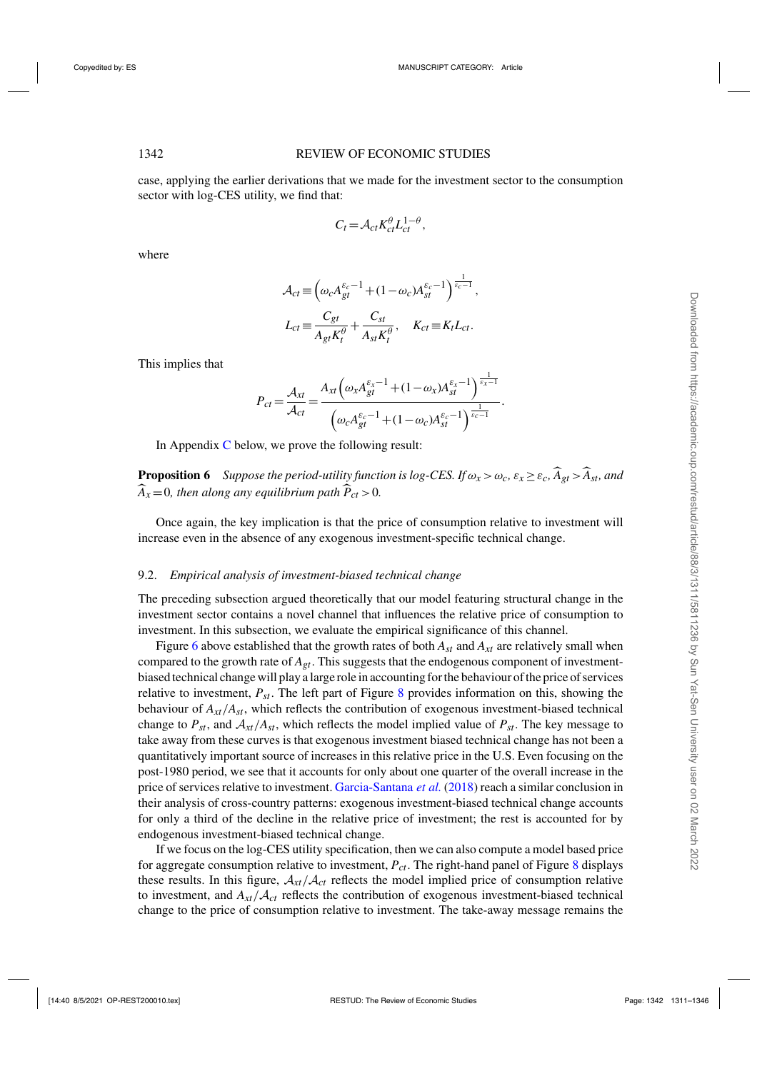<span id="page-31-0"></span>case, applying the earlier derivations that we made for the investment sector to the consumption sector with log-CES utility, we find that:

$$
C_t = \mathcal{A}_{ct} K_{ct}^{\theta} L_{ct}^{1-\theta},
$$

where

$$
\mathcal{A}_{ct} \equiv \left(\omega_c A_{gt}^{\varepsilon_c - 1} + (1 - \omega_c) A_{st}^{\varepsilon_c - 1}\right)^{\frac{1}{\varepsilon_c - 1}},
$$
  

$$
L_{ct} \equiv \frac{C_{gt}}{A_{gt} K_t^{\theta}} + \frac{C_{st}}{A_{st} K_t^{\theta}}, \quad K_{ct} \equiv K_t L_{ct}.
$$

This implies that

$$
P_{ct} = \frac{\mathcal{A}_{xt}}{\mathcal{A}_{ct}} = \frac{A_{xt} \left(\omega_x A_{gt}^{\varepsilon_x - 1} + (1 - \omega_x) A_{st}^{\varepsilon_x - 1}\right)^{\frac{1}{\varepsilon_x - 1}}}{\left(\omega_c A_{gt}^{\varepsilon_c - 1} + (1 - \omega_c) A_{st}^{\varepsilon_c - 1}\right)^{\frac{1}{\varepsilon_c - 1}}}.
$$

In Appendix  $C$  below, we prove the following result:

**Proposition 6** *Suppose the period-utility function is log-CES. If*  $\omega_x > \omega_c$ ,  $\varepsilon_x \geq \varepsilon_c$ ,  $\widehat{A}_{gt} > \widehat{A}_{st}$ , and  $\widehat{A}_x = 0$ , then along any equilibrium path  $\widehat{P}_{ct} > 0$ .

Once again, the key implication is that the price of consumption relative to investment will increase even in the absence of any exogenous investment-specific technical change.

#### 9.2. *Empirical analysis of investment-biased technical change*

The preceding subsection argued theoretically that our model featuring structural change in the investment sector contains a novel channel that influences the relative price of consumption to investment. In this subsection, we evaluate the empirical significance of this channel.

Figure [6](#page-26-0) above established that the growth rates of both  $A_{st}$  and  $A_{xt}$  are relatively small when compared to the growth rate of *Agt*. This suggests that the endogenous component of investmentbiased technical change will play a large role in accounting for the behaviour of the price of services relative to investment,  $P_{st}$ . The left part of Figure [8](#page-32-0) provides information on this, showing the behaviour of *Axt*/*Ast*, which reflects the contribution of exogenous investment-biased technical change to  $P_{st}$ , and  $A_{xt}/A_{st}$ , which reflects the model implied value of  $P_{st}$ . The key message to take away from these curves is that exogenous investment biased technical change has not been a quantitatively important source of increases in this relative price in the U.S. Even focusing on the post-1980 period, we see that it accounts for only about one quarter of the overall increase in the price of services relative to investment. [Garcia-Santana](#page-35-0) *et al.* [\(2018\)](#page-35-0) reach a similar conclusion in their analysis of cross-country patterns: exogenous investment-biased technical change accounts for only a third of the decline in the relative price of investment; the rest is accounted for by endogenous investment-biased technical change.

If we focus on the log-CES utility specification, then we can also compute a model based price for aggregate consumption relative to investment, *Pct*. The right-hand panel of Figure [8](#page-32-0) displays these results. In this figure,  $A_{xt}/A_{ct}$  reflects the model implied price of consumption relative to investment, and  $A_{xt}/A_{ct}$  reflects the contribution of exogenous investment-biased technical change to the price of consumption relative to investment. The take-away message remains the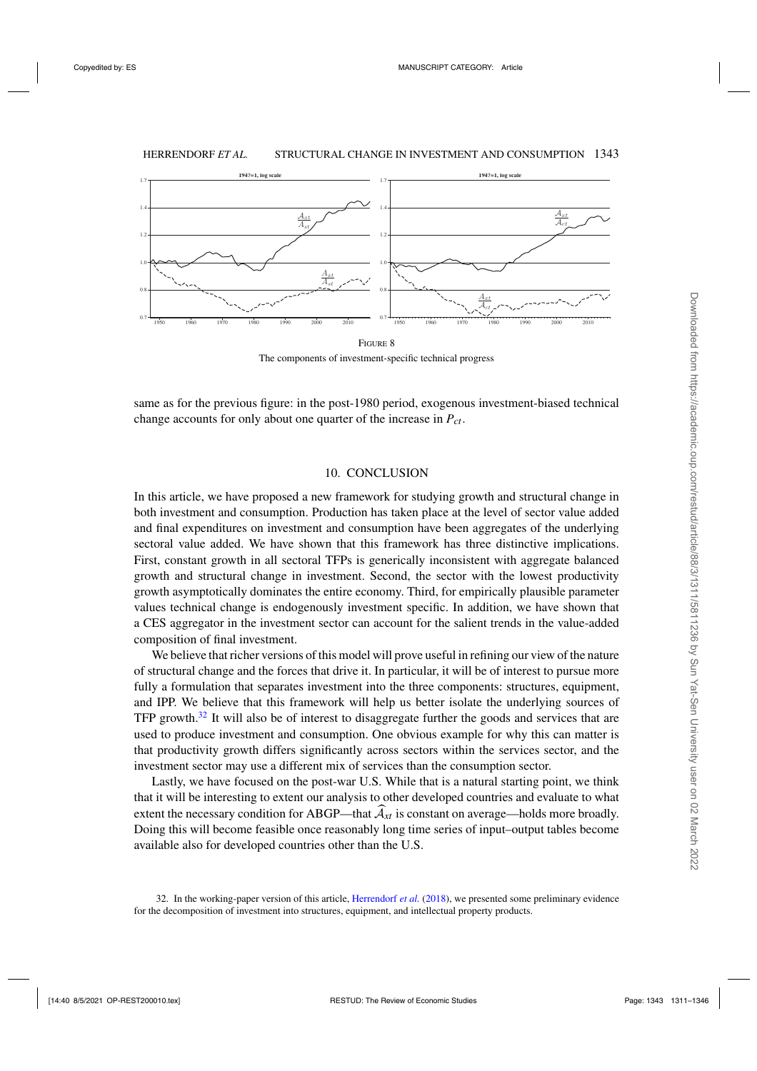<span id="page-32-0"></span>

The components of investment-specific technical progress

same as for the previous figure: in the post-1980 period, exogenous investment-biased technical change accounts for only about one quarter of the increase in  $P_{ct}$ .

#### 10. CONCLUSION

In this article, we have proposed a new framework for studying growth and structural change in both investment and consumption. Production has taken place at the level of sector value added and final expenditures on investment and consumption have been aggregates of the underlying sectoral value added. We have shown that this framework has three distinctive implications. First, constant growth in all sectoral TFPs is generically inconsistent with aggregate balanced growth and structural change in investment. Second, the sector with the lowest productivity growth asymptotically dominates the entire economy. Third, for empirically plausible parameter values technical change is endogenously investment specific. In addition, we have shown that a CES aggregator in the investment sector can account for the salient trends in the value-added composition of final investment.

We believe that richer versions of this model will prove useful in refining our view of the nature of structural change and the forces that drive it. In particular, it will be of interest to pursue more fully a formulation that separates investment into the three components: structures, equipment, and IPP. We believe that this framework will help us better isolate the underlying sources of TFP growth. $32$  It will also be of interest to disaggregate further the goods and services that are used to produce investment and consumption. One obvious example for why this can matter is that productivity growth differs significantly across sectors within the services sector, and the investment sector may use a different mix of services than the consumption sector.

Lastly, we have focused on the post-war U.S. While that is a natural starting point, we think that it will be interesting to extent our analysis to other developed countries and evaluate to what extent the necessary condition for ABGP—that  $\mathcal{A}_{xt}$  is constant on average—holds more broadly. Doing this will become feasible once reasonably long time series of input–output tables become available also for developed countries other than the U.S.

<sup>32.</sup> In the working-paper version of this article, [Herrendorf](#page-35-0) *et al.* [\(2018\)](#page-35-0), we presented some preliminary evidence for the decomposition of investment into structures, equipment, and intellectual property products.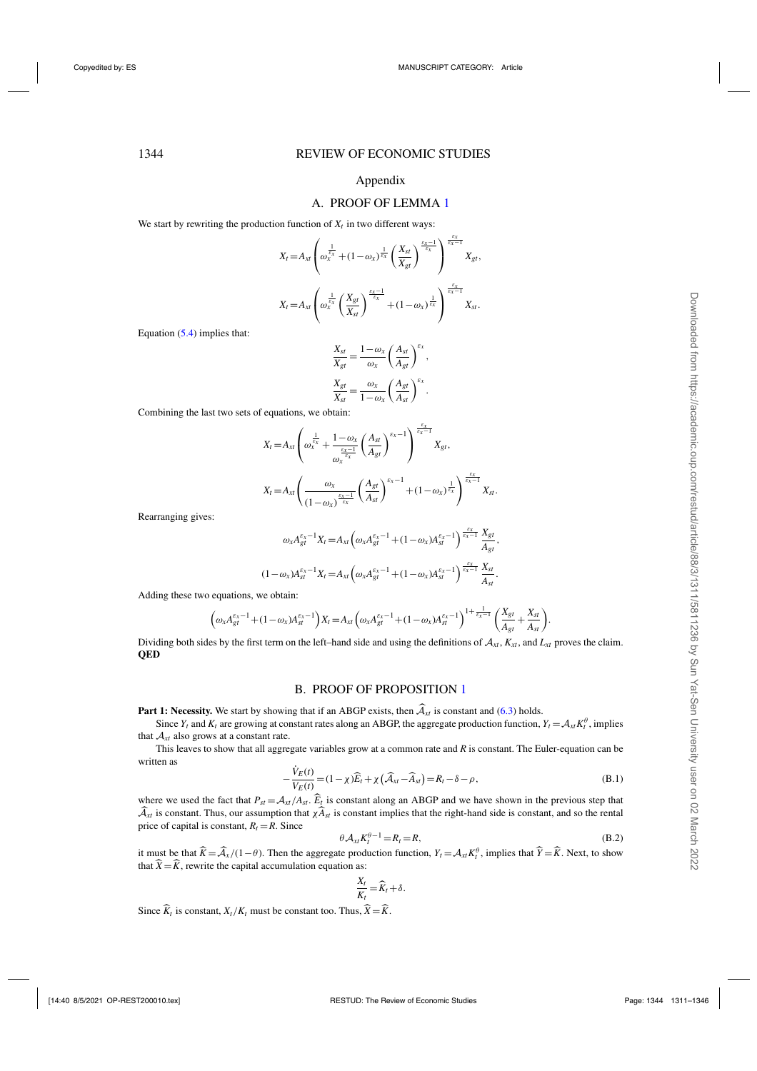#### Appendix

#### A. PROOF OF LEMMA [1](#page-10-0)

<span id="page-33-0"></span>We start by rewriting the production function of  $X_t$  in two different ways:

$$
X_t = A_{xt} \left( \omega_x^{\frac{1}{\varepsilon_x}} + (1 - \omega_x)^{\frac{1}{\varepsilon_x}} \left( \frac{X_{st}}{X_{gt}} \right)^{\frac{\varepsilon_x - 1}{\varepsilon_x}} \right)^{\frac{\varepsilon_x - 1}{\varepsilon_x - 1}} X_{gt},
$$
  

$$
X_t = A_{xt} \left( \omega_x^{\frac{1}{\varepsilon_x}} \left( \frac{X_{gt}}{X_{st}} \right)^{\frac{\varepsilon_x - 1}{\varepsilon_x}} + (1 - \omega_x)^{\frac{1}{\varepsilon_x}} \right)^{\frac{\varepsilon_x}{\varepsilon_x - 1}} X_{st}.
$$

Equation [\(5.4\)](#page-9-0) implies that:

$$
\frac{X_{st}}{X_{gt}} = \frac{1 - \omega_x}{\omega_x} \left(\frac{A_{st}}{A_{gt}}\right)^{\varepsilon_x},
$$

$$
\frac{X_{gt}}{X_{st}} = \frac{\omega_x}{1 - \omega_x} \left(\frac{A_{gt}}{A_{st}}\right)^{\varepsilon_x}.
$$

Combining the last two sets of equations, we obtain:

$$
X_t = A_{xt} \left( \omega_x^{\frac{1}{\varepsilon_x}} + \frac{1 - \omega_x}{\omega_x^{\frac{\varepsilon_x - 1}{\varepsilon_x}}} \left( \frac{A_{st}}{A_{gt}} \right)^{\varepsilon_x - 1} \right)^{\frac{\varepsilon_x}{\varepsilon_x - 1}} X_{gt},
$$
  

$$
X_t = A_{xt} \left( \frac{\omega_x}{(1 - \omega_x)^{\frac{\varepsilon_x - 1}{\varepsilon_x}}} \left( \frac{A_{gt}}{A_{st}} \right)^{\varepsilon_x - 1} + (1 - \omega_x)^{\frac{1}{\varepsilon_x}} \right)^{\frac{\varepsilon_x}{\varepsilon_x - 1}} X_{st}.
$$

Rearranging gives:

$$
\omega_{x} A_{gt}^{\varepsilon_{x}-1} X_{t} = A_{xt} \left( \omega_{x} A_{gt}^{\varepsilon_{x}-1} + (1 - \omega_{x}) A_{st}^{\varepsilon_{x}-1} \right) \frac{\varepsilon_{x}}{\varepsilon_{x}-1} \frac{X_{gt}}{A_{gt}},
$$
  

$$
(1 - \omega_{x}) A_{st}^{\varepsilon_{x}-1} X_{t} = A_{xt} \left( \omega_{x} A_{gt}^{\varepsilon_{x}-1} + (1 - \omega_{x}) A_{st}^{\varepsilon_{x}-1} \right) \frac{\varepsilon_{x}}{\varepsilon_{x}-1} \frac{X_{st}}{A_{st}}.
$$

Adding these two equations, we obtain:

$$
\left(\omega_{x}A_{gt}^{\varepsilon_{x}-1}+(1-\omega_{x})A_{st}^{\varepsilon_{x}-1}\right)X_{t} = A_{xt}\left(\omega_{x}A_{gt}^{\varepsilon_{x}-1}+(1-\omega_{x})A_{st}^{\varepsilon_{x}-1}\right)^{1+\frac{1}{\varepsilon_{x}-1}}\left(\frac{X_{gt}}{A_{gt}}+\frac{X_{st}}{A_{st}}\right).
$$

Dividing both sides by the first term on the left–hand side and using the definitions of  $A_{x,t}$ ,  $K_{x,t}$ , and  $L_{x,t}$  proves the claim. **QED**

#### B. PROOF OF PROPOSITION [1](#page-15-0)

**Part 1: Necessity.** We start by showing that if an ABGP exists, then  $\widehat{A}_{xt}$  is constant and [\(6.3\)](#page-15-0) holds.

Since  $Y_t$  and  $K_t$  are growing at constant rates along an ABGP, the aggregate production function,  $Y_t = A_{xt} K_t^{\theta}$ , implies that  $A_{xt}$  also grows at a constant rate.

This leaves to show that all aggregate variables grow at a common rate and *R* is constant. The Euler-equation can be written as

$$
-\frac{\dot{V}_E(t)}{V_E(t)} = (1 - \chi)\widehat{E}_t + \chi\left(\widehat{\mathcal{A}}_{xt} - \widehat{A}_{st}\right) = R_t - \delta - \rho, \tag{B.1}
$$

where we used the fact that  $P_{st} = A_{xt}/A_{st}$ .  $\widehat{E}_t$  is constant along an ABGP and we have shown in the previous step that  $\widehat{\mathcal{A}}_{xt}$  is constant. Thus, our assumption that  $\chi \widehat{A}_{st}$  is constant implies that the right-hand side is constant, and so the rental price of capital is constant,  $R_t = R$ . Since

$$
\theta \mathcal{A}_{xt} K_t^{\theta - 1} = R_t = R,\tag{B.2}
$$

it must be that  $\hat{K} = \hat{\mathcal{A}}_x/(1-\theta)$ . Then the aggregate production function,  $Y_t = \mathcal{A}_{xt} K_t^{\theta}$ , implies that  $\hat{Y} = \hat{K}$ . Next, to show that  $\overline{X} = \overline{K}$ , rewrite the capital accumulation equation as:

$$
\frac{X_t}{K_t} = \widehat{K}_t + \delta.
$$

Since  $\overline{K}_t$  is constant,  $X_t/K_t$  must be constant too. Thus,  $\overline{X} = \overline{K}$ .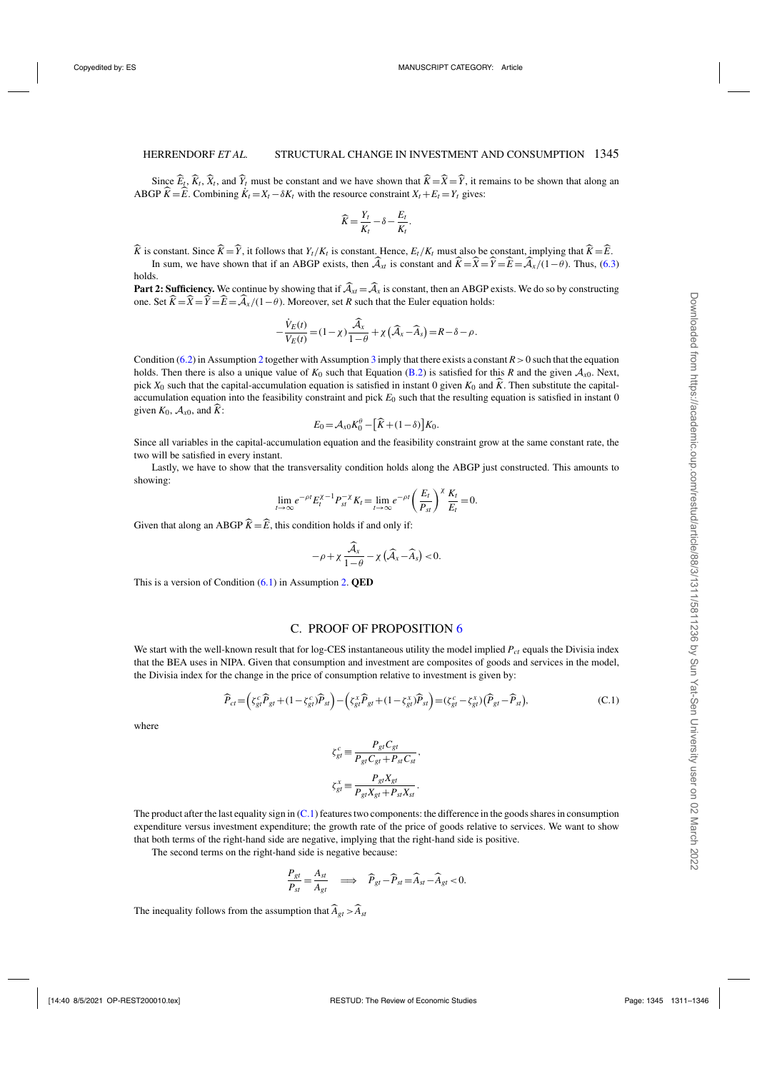<span id="page-34-0"></span>Since  $E_t$ ,  $K_t$ ,  $X_t$ , and  $Y_t$  must be constant and we have shown that  $K = X = Y$ , it remains to be shown that along an ABGP  $\hat{K} = \hat{E}$ . Combining  $\dot{K}_t = X_t - \delta K_t$  with the resource constraint  $X_t + E_t = Y_t$  gives:

$$
\widehat{K} = \frac{Y_t}{K_t} - \delta - \frac{E_t}{K_t}.
$$

*K* is constant. Since *K* = *Y*, it follows that *Y<sub>t</sub>*/*K<sub>t</sub>* is constant. Hence,  $E_t/K_t$  must also be constant, implying that  $K = E$ .

In sum, we have shown that if an ABGP exists, then  $A_{xt}$  is constant and  $K = X = Y = E = A_x/(1 - \theta)$ . Thus, [\(6.3\)](#page-15-0) holds.

**Part 2: Sufficiency.** We continue by showing that if  $\hat{\mathcal{A}}_x = \hat{\mathcal{A}}_x$  is constant, then an ABGP exists. We do so by constructing one. Set  $K = X = Y = E = \mathcal{A}_x/(1 - \theta)$ . Moreover, set *R* such that the Euler equation holds:

$$
-\frac{\dot{V}_E(t)}{V_E(t)} = (1 - \chi)\frac{\widehat{\mathcal{A}}_x}{1 - \theta} + \chi\left(\widehat{\mathcal{A}}_x - \widehat{\mathcal{A}}_s\right) = R - \delta - \rho.
$$

Condition [\(6.2\)](#page-14-0) in Assumption [2](#page-14-0) together with Assumption [3](#page-14-0) imply that there exists a constant  $R > 0$  such that the equation holds. Then there is also a unique value of  $K_0$  such that Equation [\(B.2\)](#page-33-0) is satisfied for this *R* and the given  $A_{x0}$ . Next, pick  $X_0$  such that the capital-accumulation equation is satisfied in instant 0 given  $K_0$  and  $K$ . Then substitute the capitalaccumulation equation into the feasibility constraint and pick *E*<sup>0</sup> such that the resulting equation is satisfied in instant 0 given  $K_0$ ,  $\mathcal{A}_{x0}$ , and  $K$ :

$$
E_0 = \mathcal{A}_{x0} K_0^{\theta} - \left[\widehat{K} + (1 - \delta)\right] K_0.
$$

Since all variables in the capital-accumulation equation and the feasibility constraint grow at the same constant rate, the two will be satisfied in every instant.

Lastly, we have to show that the transversality condition holds along the ABGP just constructed. This amounts to showing:

$$
\lim_{t\to\infty}e^{-\rho t}E_t^{\chi-1}P_{st}^{-\chi}K_t=\lim_{t\to\infty}e^{-\rho t}\left(\frac{E_t}{P_{st}}\right)^{\chi}\frac{K_t}{E_t}=0.
$$

Given that along an ABGP  $\hat{K} = \hat{E}$ , this condition holds if and only if:

$$
-\rho+\chi\frac{\widehat{\mathcal{A}}_x}{1-\theta}-\chi\left(\widehat{\mathcal{A}}_x-\widehat{\mathcal{A}}_s\right)<0.
$$

This is a version of Condition [\(6.1\)](#page-14-0) in Assumption [2.](#page-14-0) **QED**

#### C. PROOF OF PROPOSITION [6](#page-31-0)

We start with the well-known result that for log-CES instantaneous utility the model implied  $P_{ct}$  equals the Divisia index that the BEA uses in NIPA. Given that consumption and investment are composites of goods and services in the model, the Divisia index for the change in the price of consumption relative to investment is given by:

$$
\widehat{P}_{ct} = \left(\zeta_{gt}^c \widehat{P}_{gt} + (1 - \zeta_{gt}^c) \widehat{P}_{st}\right) - \left(\zeta_{gt}^x \widehat{P}_{gt} + (1 - \zeta_{gt}^x) \widehat{P}_{st}\right) = (\zeta_{gt}^c - \zeta_{gt}^x) \left(\widehat{P}_{gt} - \widehat{P}_{st}\right),\tag{C.1}
$$

where

$$
\zeta_{gt}^c \equiv \frac{P_{gt}C_{gt}}{P_{gt}C_{gt} + P_{st}C_{st}},
$$
  

$$
\zeta_{gt}^x \equiv \frac{P_{gt}X_{gt}}{P_{gt}X_{gt} + P_{st}X_{st}}.
$$

The product after the last equality sign in (C.1) features two components: the difference in the goods shares in consumption expenditure versus investment expenditure; the growth rate of the price of goods relative to services. We want to show that both terms of the right-hand side are negative, implying that the right-hand side is positive.

The second terms on the right-hand side is negative because:

$$
\frac{P_{gt}}{P_{st}} = \frac{A_{st}}{A_{gt}} \quad \Longrightarrow \quad \widehat{P}_{gt} - \widehat{P}_{st} = \widehat{A}_{st} - \widehat{A}_{gt} < 0.
$$

The inequality follows from the assumption that  $\widehat{A}_{gt} > \widehat{A}_{st}$